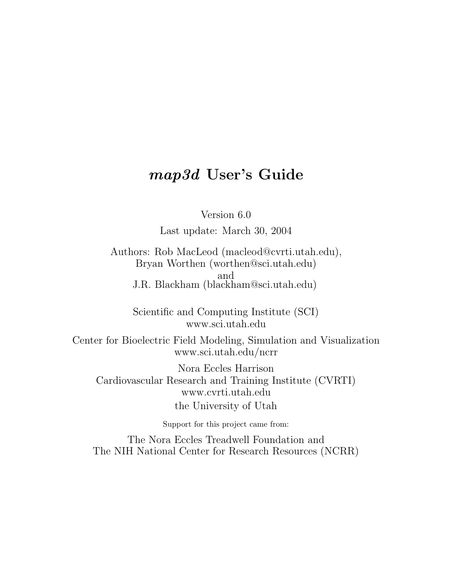# map3d User's Guide

Version 6.0

Last update: March 30, 2004

Authors: Rob MacLeod (macleod@cvrti.utah.edu), Bryan Worthen (worthen@sci.utah.edu) and J.R. Blackham (blackham@sci.utah.edu)

Scientific and Computing Institute (SCI) www.sci.utah.edu

Center for Bioelectric Field Modeling, Simulation and Visualization www.sci.utah.edu/ncrr

Nora Eccles Harrison Cardiovascular Research and Training Institute (CVRTI) www.cvrti.utah.edu the University of Utah

Support for this project came from:

The Nora Eccles Treadwell Foundation and The NIH National Center for Research Resources (NCRR)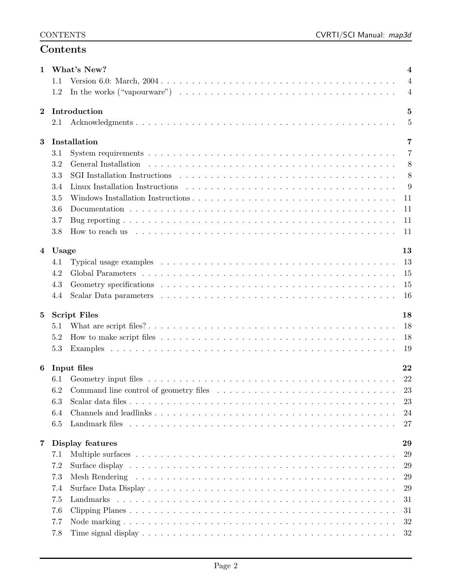## Contents

| $\mathbf{1}$            |            | What's New?                                                                                                                                                                                                                   | 4              |
|-------------------------|------------|-------------------------------------------------------------------------------------------------------------------------------------------------------------------------------------------------------------------------------|----------------|
|                         | 1.1        |                                                                                                                                                                                                                               | $\overline{4}$ |
|                         | 1.2        |                                                                                                                                                                                                                               | $\overline{4}$ |
| $\mathbf{2}$            |            | Introduction                                                                                                                                                                                                                  | 5              |
|                         | 2.1        |                                                                                                                                                                                                                               | 5              |
| 3                       |            | Installation                                                                                                                                                                                                                  | 7              |
|                         | 3.1        |                                                                                                                                                                                                                               | 7              |
|                         | 3.2        | General Installation (a) respectively and the set of the set of the set of the set of the set of the set of the set of the set of the set of the set of the set of the set of the set of the set of the set of the set of the | 8              |
|                         | 3.3        |                                                                                                                                                                                                                               | 8              |
|                         | 3.4        |                                                                                                                                                                                                                               | 9              |
|                         | 3.5        |                                                                                                                                                                                                                               | 11             |
|                         | 3.6        |                                                                                                                                                                                                                               | 11             |
|                         | 3.7        |                                                                                                                                                                                                                               | 11             |
|                         | 3.8        |                                                                                                                                                                                                                               | 11             |
|                         |            |                                                                                                                                                                                                                               |                |
|                         | 4 Usage    |                                                                                                                                                                                                                               | 13             |
|                         | 4.1        |                                                                                                                                                                                                                               | 13             |
|                         | 4.2        |                                                                                                                                                                                                                               | 15             |
|                         | 4.3        |                                                                                                                                                                                                                               | 15             |
|                         | 4.4        |                                                                                                                                                                                                                               | 16             |
| $\bf{5}$                |            | <b>Script Files</b>                                                                                                                                                                                                           | 18             |
|                         | 5.1        |                                                                                                                                                                                                                               | 18             |
|                         | 5.2        |                                                                                                                                                                                                                               | 18             |
|                         | 5.3        |                                                                                                                                                                                                                               | 19             |
|                         |            |                                                                                                                                                                                                                               |                |
| 6                       |            | Input files                                                                                                                                                                                                                   | 22             |
|                         | 6.1        |                                                                                                                                                                                                                               | 22             |
|                         | 6.2        | Command line control of geometry files                                                                                                                                                                                        | 23             |
|                         | 6.3        |                                                                                                                                                                                                                               | 23             |
|                         | 6.4        |                                                                                                                                                                                                                               | 24             |
|                         | 6.5        | Landmark files                                                                                                                                                                                                                | 27             |
| $\overline{\mathbf{7}}$ |            | Display features                                                                                                                                                                                                              | 29             |
|                         | 7.1        |                                                                                                                                                                                                                               | 29             |
|                         | 7.2        |                                                                                                                                                                                                                               | 29             |
|                         | 7.3        |                                                                                                                                                                                                                               | 29             |
|                         | 7.4        |                                                                                                                                                                                                                               | 29             |
|                         |            |                                                                                                                                                                                                                               |                |
|                         | 7.5        | Landmarks                                                                                                                                                                                                                     | 31             |
|                         |            |                                                                                                                                                                                                                               |                |
|                         | 7.6<br>7.7 |                                                                                                                                                                                                                               | 31<br>32       |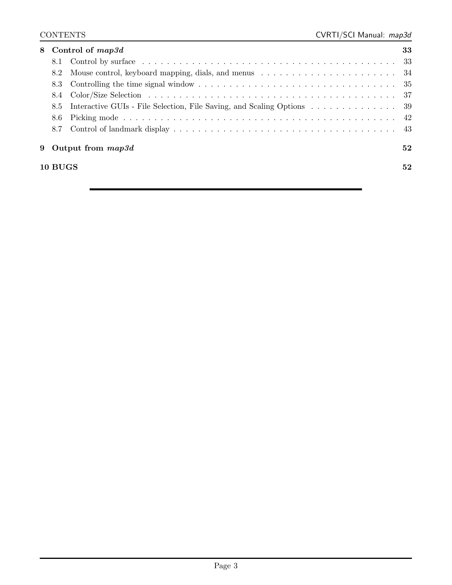| 8 |         | Control of map3d                                                       | 33 |
|---|---------|------------------------------------------------------------------------|----|
|   | 8.1     |                                                                        |    |
|   | 8.2     |                                                                        |    |
|   |         |                                                                        |    |
|   |         |                                                                        |    |
|   | 8.5     | Interactive GUIs - File Selection, File Saving, and Scaling Options 39 |    |
|   | 8.6     |                                                                        |    |
|   | 8.7     |                                                                        |    |
| 9 |         | Output from $map3d$                                                    | 52 |
|   | 10 BUGS |                                                                        | 52 |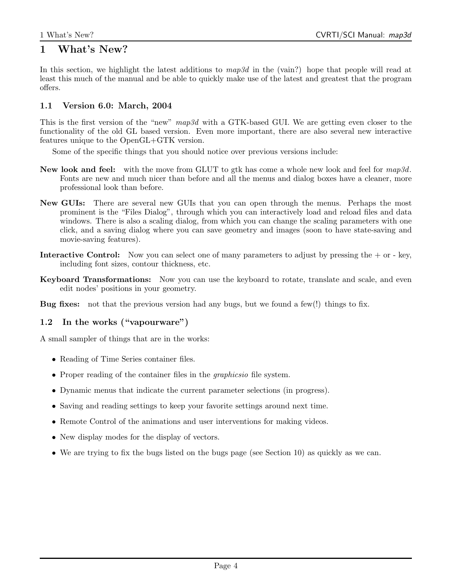## 1 What's New?

In this section, we highlight the latest additions to  $map3d$  in the (vain?) hope that people will read at least this much of the manual and be able to quickly make use of the latest and greatest that the program offers.

## 1.1 Version 6.0: March, 2004

This is the first version of the "new" map3d with a GTK-based GUI. We are getting even closer to the functionality of the old GL based version. Even more important, there are also several new interactive features unique to the OpenGL+GTK version.

Some of the specific things that you should notice over previous versions include:

- New look and feel: with the move from GLUT to gtk has come a whole new look and feel for  $map3d$ . Fonts are new and much nicer than before and all the menus and dialog boxes have a cleaner, more professional look than before.
- New GUIs: There are several new GUIs that you can open through the menus. Perhaps the most prominent is the "Files Dialog", through which you can interactively load and reload files and data windows. There is also a scaling dialog, from which you can change the scaling parameters with one click, and a saving dialog where you can save geometry and images (soon to have state-saving and movie-saving features).
- **Interactive Control:** Now you can select one of many parameters to adjust by pressing the  $+$  or  $-$  key, including font sizes, contour thickness, etc.
- Keyboard Transformations: Now you can use the keyboard to rotate, translate and scale, and even edit nodes' positions in your geometry.
- Bug fixes: not that the previous version had any bugs, but we found a few(!) things to fix.

## 1.2 In the works ("vapourware")

A small sampler of things that are in the works:

- Reading of Time Series container files.
- Proper reading of the container files in the *graphicsio* file system.
- Dynamic menus that indicate the current parameter selections (in progress).
- Saving and reading settings to keep your favorite settings around next time.
- Remote Control of the animations and user interventions for making videos.
- New display modes for the display of vectors.
- We are trying to fix the bugs listed on the bugs page (see Section 10) as quickly as we can.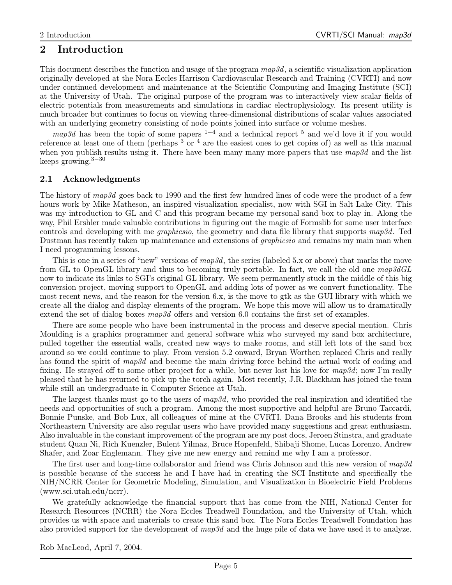## 2 Introduction

This document describes the function and usage of the program  $map3d$ , a scientific visualization application originally developed at the Nora Eccles Harrison Cardiovascular Research and Training (CVRTI) and now under continued development and maintenance at the Scientific Computing and Imaging Institute (SCI) at the University of Utah. The original purpose of the program was to interactively view scalar fields of electric potentials from measurements and simulations in cardiac electrophysiology. Its present utility is much broader but continues to focus on viewing three-dimensional distributions of scalar values associated with an underlying geometry consisting of node points joined into surface or volume meshes.

map3d has been the topic of some papers  $1-4$  and a technical report  $5$  and we'd love it if you would reference at least one of them (perhaps  $3\sigma$   $^4$  are the easiest ones to get copies of) as well as this manual when you publish results using it. There have been many many more papers that use  $map3d$  and the list keeps growing. $3-30$ 

## 2.1 Acknowledgments

The history of map3d goes back to 1990 and the first few hundred lines of code were the product of a few hours work by Mike Matheson, an inspired visualization specialist, now with SGI in Salt Lake City. This was my introduction to GL and C and this program became my personal sand box to play in. Along the way, Phil Ershler made valuable contributions in figuring out the magic of Formslib for some user interface controls and developing with me graphicsio, the geometry and data file library that supports map3d. Ted Dustman has recently taken up maintenance and extensions of graphicsio and remains my main man when I need programming lessons.

This is one in a series of "new" versions of  $map3d$ , the series (labeled 5.x or above) that marks the move from GL to OpenGL library and thus to becoming truly portable. In fact, we call the old one map3dGL now to indicate its links to SGI's original GL library. We seem permanently stuck in the middle of this big conversion project, moving support to OpenGL and adding lots of power as we convert functionality. The most recent news, and the reason for the version 6.x, is the move to gtk as the GUI library with which we create all the dialog and display elements of the program. We hope this move will allow us to dramatically extend the set of dialog boxes map3d offers and version 6.0 contains the first set of examples.

There are some people who have been instrumental in the process and deserve special mention. Chris Moulding is a graphics programmer and general software whiz who surveyed my sand box architecture, pulled together the essential walls, created new ways to make rooms, and still left lots of the sand box around so we could continue to play. From version 5.2 onward, Bryan Worthen replaced Chris and really has found the spirit of map3d and become the main driving force behind the actual work of coding and fixing. He strayed off to some other project for a while, but never lost his love for map3d; now I'm really pleased that he has returned to pick up the torch again. Most recently, J.R. Blackham has joined the team while still an undergraduate in Computer Science at Utah.

The largest thanks must go to the users of  $map3d$ , who provided the real inspiration and identified the needs and opportunities of such a program. Among the most supportive and helpful are Bruno Taccardi, Bonnie Punske, and Bob Lux, all colleagues of mine at the CVRTI. Dana Brooks and his students from Northeastern University are also regular users who have provided many suggestions and great enthusiasm. Also invaluable in the constant improvement of the program are my post docs, Jeroen Stinstra, and graduate student Quan Ni, Rich Kuenzler, Bulent Yilmaz, Bruce Hopenfeld, Shibaji Shome, Lucas Lorenzo, Andrew Shafer, and Zoar Englemann. They give me new energy and remind me why I am a professor.

The first user and long-time collaborator and friend was Chris Johnson and this new version of  $map3d$ is possible because of the success he and I have had in creating the SCI Institute and specifically the NIH/NCRR Center for Geometric Modeling, Simulation, and Visualization in Bioelectric Field Problems (www.sci.utah.edu/ncrr).

We gratefully acknowledge the financial support that has come from the NIH, National Center for Research Resources (NCRR) the Nora Eccles Treadwell Foundation, and the University of Utah, which provides us with space and materials to create this sand box. The Nora Eccles Treadwell Foundation has also provided support for the development of map3d and the huge pile of data we have used it to analyze.

Rob MacLeod, April 7, 2004.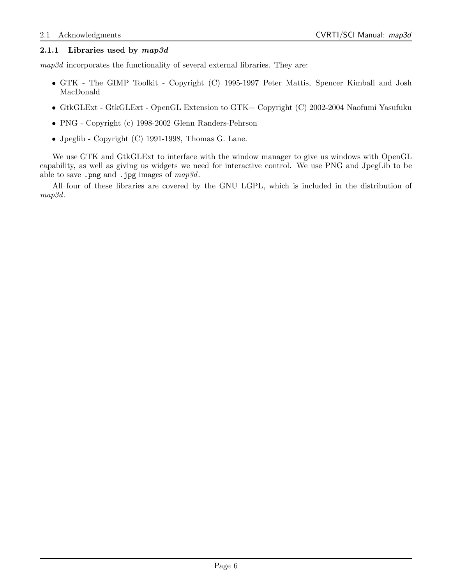## 2.1.1 Libraries used by  $map3d$

map3d incorporates the functionality of several external libraries. They are:

- GTK The GIMP Toolkit Copyright (C) 1995-1997 Peter Mattis, Spencer Kimball and Josh MacDonald
- GtkGLExt GtkGLExt OpenGL Extension to GTK+ Copyright (C) 2002-2004 Naofumi Yasufuku
- PNG Copyright (c) 1998-2002 Glenn Randers-Pehrson
- Jpeglib Copyright (C) 1991-1998, Thomas G. Lane.

We use GTK and GtkGLExt to interface with the window manager to give us windows with OpenGL capability, as well as giving us widgets we need for interactive control. We use PNG and JpegLib to be able to save .png and .jpg images of  $map3d$ .

All four of these libraries are covered by the GNU LGPL, which is included in the distribution of map3d.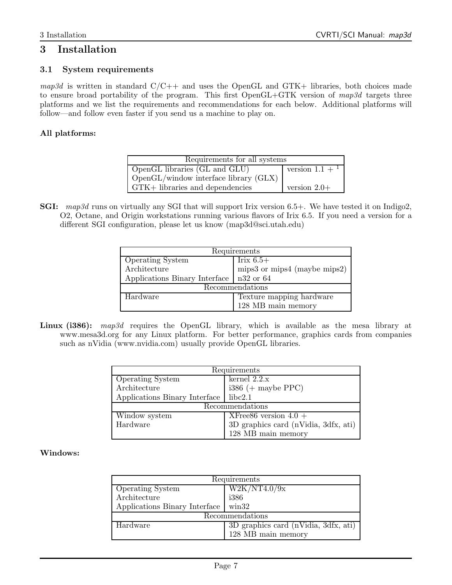## 3 Installation

## 3.1 System requirements

 $map3d$  is written in standard  $C/C++$  and uses the OpenGL and GTK+ libraries, both choices made to ensure broad portability of the program. This first  $OpenGL+GTK$  version of map3d targets three platforms and we list the requirements and recommendations for each below. Additional platforms will follow—and follow even faster if you send us a machine to play on.

## All platforms:

| Requirements for all systems                      |                              |  |  |  |  |
|---------------------------------------------------|------------------------------|--|--|--|--|
| OpenGL libraries (GL and GLU)                     | version $1.1 +$ <sup>1</sup> |  |  |  |  |
| $\log_{10}$ OpenGL/window interface library (GLX) |                              |  |  |  |  |
| GTK+ libraries and dependencies                   | version $2.0+$               |  |  |  |  |

SGI: map3d runs on virtually any SGI that will support Irix version 6.5+. We have tested it on Indigo2, O2, Octane, and Origin workstations running various flavors of Irix 6.5. If you need a version for a different SGI configuration, please let us know (map3d@sci.utah.edu)

| Requirements                              |                              |  |  |  |  |
|-------------------------------------------|------------------------------|--|--|--|--|
| <b>Operating System</b>                   | Irix $6.5+$                  |  |  |  |  |
| Architecture                              | mips3 or mips4 (maybe mips2) |  |  |  |  |
| Applications Binary Interface   n32 or 64 |                              |  |  |  |  |
|                                           | Recommendations              |  |  |  |  |
| Hardware                                  | Texture mapping hardware     |  |  |  |  |
|                                           | 128 MB main memory           |  |  |  |  |

Linux (i386): map3d requires the OpenGL library, which is available as the mesa library at www.mesa3d.org for any Linux platform. For better performance, graphics cards from companies such as nVidia (www.nvidia.com) usually provide OpenGL libraries.

| Requirements                  |                                      |  |  |  |  |
|-------------------------------|--------------------------------------|--|--|--|--|
| <b>Operating System</b>       | $\overline{\text{kernel}}$ 2.2.x     |  |  |  |  |
| Architecture                  | $i386 (+$ maybe PPC)                 |  |  |  |  |
| Applications Binary Interface | libc2.1                              |  |  |  |  |
| Recommendations               |                                      |  |  |  |  |
| Window system                 | XFree86 version $4.0 +$              |  |  |  |  |
| Hardware                      | 3D graphics card (nVidia, 3dfx, ati) |  |  |  |  |
|                               | 128 MB main memory                   |  |  |  |  |

#### Windows:

|                               | Requirements                           |  |  |  |  |
|-------------------------------|----------------------------------------|--|--|--|--|
| <b>Operating System</b>       | W2K/NT4.0/9x                           |  |  |  |  |
| Architecture                  | i386                                   |  |  |  |  |
| Applications Binary Interface | $\sin 32$                              |  |  |  |  |
|                               | Recommendations                        |  |  |  |  |
| Hardware                      | $3D$ graphics card (nVidia, 3dfx, ati) |  |  |  |  |
|                               | 128 MB main memory                     |  |  |  |  |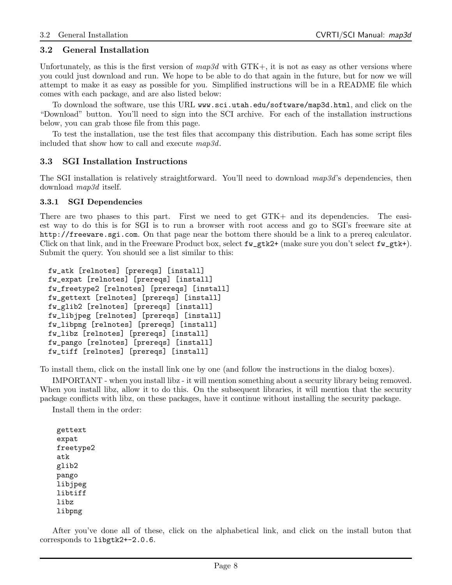#### 3.2 General Installation

Unfortunately, as this is the first version of  $map3d$  with  $GTK+$ , it is not as easy as other versions where you could just download and run. We hope to be able to do that again in the future, but for now we will attempt to make it as easy as possible for you. Simplified instructions will be in a README file which comes with each package, and are also listed below:

To download the software, use this URL www.sci.utah.edu/software/map3d.html, and click on the "Download" button. You'll need to sign into the SCI archive. For each of the installation instructions below, you can grab those file from this page.

To test the installation, use the test files that accompany this distribution. Each has some script files included that show how to call and execute map3d.

#### 3.3 SGI Installation Instructions

The SGI installation is relatively straightforward. You'll need to download  $map3d$ 's dependencies, then download map3d itself.

#### 3.3.1 SGI Dependencies

There are two phases to this part. First we need to get GTK+ and its dependencies. The easiest way to do this is for SGI is to run a browser with root access and go to SGI's freeware site at http://freeware.sgi.com. On that page near the bottom there should be a link to a prereq calculator. Click on that link, and in the Freeware Product box, select  $f_{w_g}$ tk2+ (make sure you don't select  $f_{w_g}$ tk+). Submit the query. You should see a list similar to this:

```
fw_atk [relnotes] [prereqs] [install]
fw_expat [relnotes] [prereqs] [install]
fw_freetype2 [relnotes] [prereqs] [install]
fw_gettext [relnotes] [prereqs] [install]
fw_glib2 [relnotes] [prereqs] [install]
fw_libjpeg [relnotes] [prereqs] [install]
fw_libpng [relnotes] [prereqs] [install]
fw_libz [relnotes] [prereqs] [install]
fw_pango [relnotes] [prereqs] [install]
fw_tiff [relnotes] [prereqs] [install]
```
To install them, click on the install link one by one (and follow the instructions in the dialog boxes).

IMPORTANT - when you install libz - it will mention something about a security library being removed. When you install libz, allow it to do this. On the subsequent libraries, it will mention that the security package conflicts with libz, on these packages, have it continue without installing the security package.

Install them in the order:

gettext expat freetype2 atk glib2 pango libjpeg libtiff libz libpng

After you've done all of these, click on the alphabetical link, and click on the install buton that corresponds to libgtk2+-2.0.6.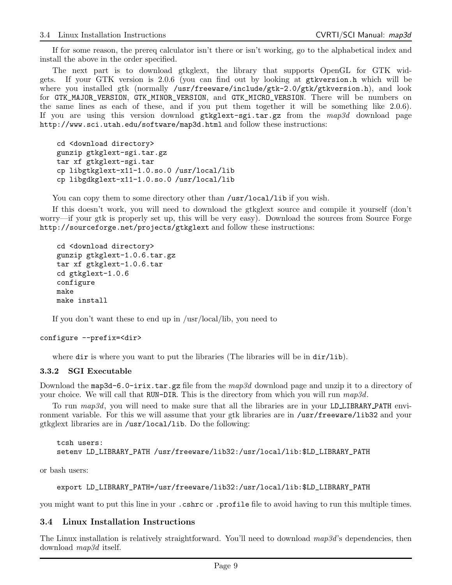If for some reason, the prereq calculator isn't there or isn't working, go to the alphabetical index and install the above in the order specified.

The next part is to download gtkglext, the library that supports OpenGL for GTK widgets. If your GTK version is 2.0.6 (you can find out by looking at gtkversion.h which will be where you installed gtk (normally /usr/freeware/include/gtk-2.0/gtk/gtkversion.h), and look for GTK\_MAJOR\_VERSION, GTK\_MINOR\_VERSION, and GTK\_MICRO\_VERSION. There will be numbers on the same lines as each of these, and if you put them together it will be something like 2.0.6). If you are using this version download  $g$ tkglext-sgi.tar.gz from the  $map3d$  download page http://www.sci.utah.edu/software/map3d.html and follow these instructions:

cd <download directory> gunzip gtkglext-sgi.tar.gz tar xf gtkglext-sgi.tar cp libgtkglext-x11-1.0.so.0 /usr/local/lib cp libgdkglext-x11-1.0.so.0 /usr/local/lib

You can copy them to some directory other than /usr/local/lib if you wish.

If this doesn't work, you will need to download the gtkglext source and compile it yourself (don't worry—if your gtk is properly set up, this will be very easy). Download the sources from Source Forge http://sourceforge.net/projects/gtkglext and follow these instructions:

```
cd <download directory>
gunzip gtkglext-1.0.6.tar.gz
tar xf gtkglext-1.0.6.tar
cd gtkglext-1.0.6
configure
make
make install
```
If you don't want these to end up in /usr/local/lib, you need to

#### configure --prefix=<dir>

where dir is where you want to put the libraries (The libraries will be in dir/lib).

#### 3.3.2 SGI Executable

Download the map3d-6.0-irix.tar.gz file from the  $map3d$  download page and unzip it to a directory of your choice. We will call that RUN-DIR. This is the directory from which you will run  $map3d$ .

To run map3d, you will need to make sure that all the libraries are in your LD\_LIBRARY\_PATH environment variable. For this we will assume that your gtk libraries are in /usr/freeware/lib32 and your gtkglext libraries are in /usr/local/lib. Do the following:

```
tcsh users:
setenv LD_LIBRARY_PATH /usr/freeware/lib32:/usr/local/lib:$LD_LIBRARY_PATH
```
or bash users:

```
export LD_LIBRARY_PATH=/usr/freeware/lib32:/usr/local/lib:$LD_LIBRARY_PATH
```
you might want to put this line in your .cshrc or .profile file to avoid having to run this multiple times.

#### 3.4 Linux Installation Instructions

The Linux installation is relatively straightforward. You'll need to download  $map3d$ 's dependencies, then download map3d itself.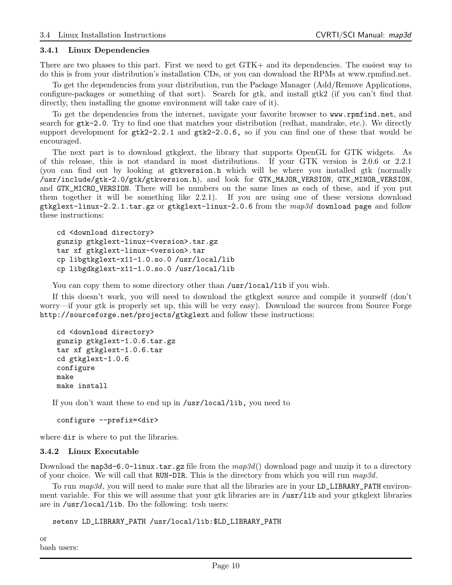#### 3.4.1 Linux Dependencies

There are two phases to this part. First we need to get GTK+ and its dependencies. The easiest way to do this is from your distribution's installation CDs, or you can download the RPMs at www.rpmfind.net.

To get the dependencies from your distribution, run the Package Manager (Add/Remove Applications, configure-packages or something of that sort). Search for gtk, and install gtk2 (if you can't find that directly, then installing the gnome environment will take care of it).

To get the dependencies from the internet, navigate your favorite browser to www.rpmfind.net, and search for gtk-2.0. Try to find one that matches your distribution (redhat, mandrake, etc.). We directly support development for  $gtk2-2.2.1$  and  $gtk2-2.0.6$ , so if you can find one of these that would be encouraged.

The next part is to download gtkglext, the library that supports OpenGL for GTK widgets. As of this release, this is not standard in most distributions. If your GTK version is 2.0.6 or 2.2.1 (you can find out by looking at gtkversion.h which will be where you installed gtk (normally /usr/include/gtk-2.0/gtk/gtkversion.h), and look for GTK\_MAJOR\_VERSION, GTK\_MINOR\_VERSION, and GTK\_MICRO\_VERSION. There will be numbers on the same lines as each of these, and if you put them together it will be something like 2.2.1). If you are using one of these versions download gtkglext-linux-2.2.1.tar.gz or gtkglext-linux-2.0.6 from the  $map3d$  download page and follow these instructions:

```
cd <download directory>
gunzip gtkglext-linux-<version>.tar.gz
tar xf gtkglext-linux-<version>.tar
cp libgtkglext-x11-1.0.so.0 /usr/local/lib
cp libgdkglext-x11-1.0.so.0 /usr/local/lib
```
You can copy them to some directory other than /usr/local/lib if you wish.

If this doesn't work, you will need to download the gtkglext source and compile it yourself (don't worry—if your gtk is properly set up, this will be very easy). Download the sources from Source Forge http://sourceforge.net/projects/gtkglext and follow these instructions:

```
cd <download directory>
gunzip gtkglext-1.0.6.tar.gz
tar xf gtkglext-1.0.6.tar
cd gtkglext-1.0.6
configure
make
make install
```
If you don't want these to end up in /usr/local/lib, you need to

```
configure --prefix=<dir>
```
where dir is where to put the libraries.

#### 3.4.2 Linux Executable

Download the map3d-6.0-linux.tar.gz file from the  $map3d()$  download page and unzip it to a directory of your choice. We will call that RUN-DIR. This is the directory from which you will run  $map3d$ .

To run map3d, you will need to make sure that all the libraries are in your LD\_LIBRARY\_PATH environment variable. For this we will assume that your gtk libraries are in /usr/lib and your gtkglext libraries are in /usr/local/lib. Do the following: tcsh users:

```
setenv LD_LIBRARY_PATH /usr/local/lib:$LD_LIBRARY_PATH
```
or bash users: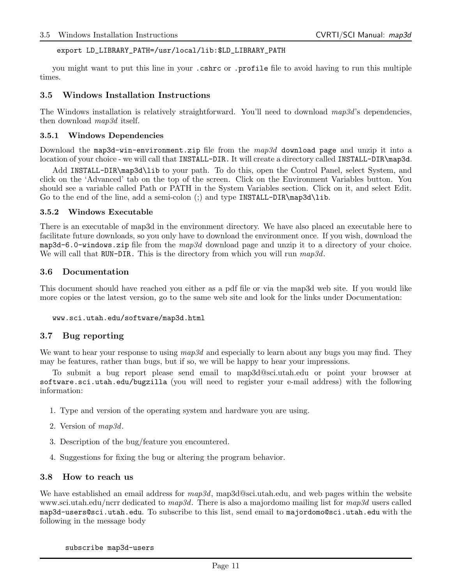#### export LD\_LIBRARY\_PATH=/usr/local/lib:\$LD\_LIBRARY\_PATH

you might want to put this line in your .cshrc or .profile file to avoid having to run this multiple times.

#### 3.5 Windows Installation Instructions

The Windows installation is relatively straightforward. You'll need to download map3d's dependencies, then download map3d itself.

#### 3.5.1 Windows Dependencies

Download the map3d-win-environment.zip file from the map3d download page and unzip it into a location of your choice - we will call that INSTALL-DIR. It will create a directory called INSTALL-DIR\map3d.

Add INSTALL-DIR\map3d\lib to your path. To do this, open the Control Panel, select System, and click on the 'Advanced' tab on the top of the screen. Click on the Environment Variables button. You should see a variable called Path or PATH in the System Variables section. Click on it, and select Edit. Go to the end of the line, add a semi-colon (;) and type INSTALL-DIR\map3d\lib.

#### 3.5.2 Windows Executable

There is an executable of map3d in the environment directory. We have also placed an executable here to facilitate future downloads, so you only have to download the environment once. If you wish, download the map3d-6.0-windows.zip file from the  $map3d$  download page and unzip it to a directory of your choice. We will call that RUN-DIR. This is the directory from which you will run  $map3d$ .

#### 3.6 Documentation

This document should have reached you either as a pdf file or via the map3d web site. If you would like more copies or the latest version, go to the same web site and look for the links under Documentation:

```
www.sci.utah.edu/software/map3d.html
```
## 3.7 Bug reporting

We want to hear your response to using  $map3d$  and especially to learn about any bugs you may find. They may be features, rather than bugs, but if so, we will be happy to hear your impressions.

To submit a bug report please send email to map3d@sci.utah.edu or point your browser at software.sci.utah.edu/bugzilla (you will need to register your e-mail address) with the following information:

- 1. Type and version of the operating system and hardware you are using.
- 2. Version of map3d.
- 3. Description of the bug/feature you encountered.
- 4. Suggestions for fixing the bug or altering the program behavior.

#### 3.8 How to reach us

We have established an email address for  $map3d$ , map3d@sci.utah.edu, and web pages within the website www.sci.utah.edu/ncrr dedicated to  $map3d$ . There is also a majordomo mailing list for  $map3d$  users called map3d-users@sci.utah.edu. To subscribe to this list, send email to majordomo@sci.utah.edu with the following in the message body

subscribe map3d-users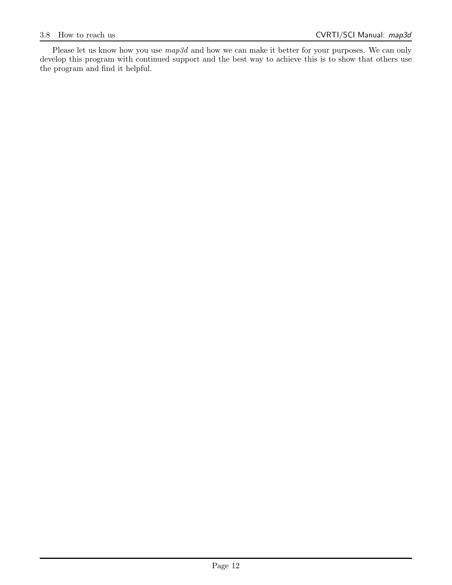Please let us know how you use  $map3d$  and how we can make it better for your purposes. We can only develop this program with continued support and the best way to achieve this is to show that others use the program and find it helpful.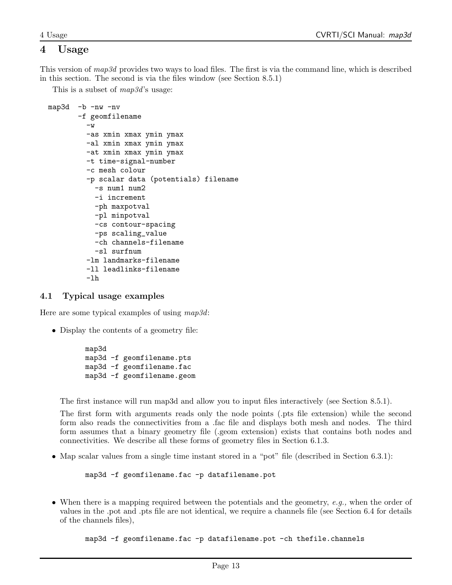## 4 Usage

This version of map3d provides two ways to load files. The first is via the command line, which is described in this section. The second is via the files window (see Section 8.5.1)

This is a subset of  $map3d$ 's usage:

```
map3d -b -nw -nv
       -f geomfilename
         -\mathbf{w}-as xmin xmax ymin ymax
         -al xmin xmax ymin ymax
         -at xmin xmax ymin ymax
         -t time-signal-number
         -c mesh colour
         -p scalar data (potentials) filename
           -s num1 num2
           -i increment
           -ph maxpotval
           -pl minpotval
           -cs contour-spacing
           -ps scaling_value
           -ch channels-filename
           -sl surfnum
         -lm landmarks-filename
         -ll leadlinks-filename
         -lh
```
## 4.1 Typical usage examples

Here are some typical examples of using map3d:

• Display the contents of a geometry file:

```
map3d
map3d -f geomfilename.pts
map3d -f geomfilename.fac
map3d -f geomfilename.geom
```
The first instance will run map3d and allow you to input files interactively (see Section 8.5.1).

The first form with arguments reads only the node points (.pts file extension) while the second form also reads the connectivities from a .fac file and displays both mesh and nodes. The third form assumes that a binary geometry file (.geom extension) exists that contains both nodes and connectivities. We describe all these forms of geometry files in Section 6.1.3.

• Map scalar values from a single time instant stored in a "pot" file (described in Section 6.3.1):

map3d -f geomfilename.fac -p datafilename.pot

• When there is a mapping required between the potentials and the geometry, e.g., when the order of values in the .pot and .pts file are not identical, we require a channels file (see Section 6.4 for details of the channels files),

map3d -f geomfilename.fac -p datafilename.pot -ch thefile.channels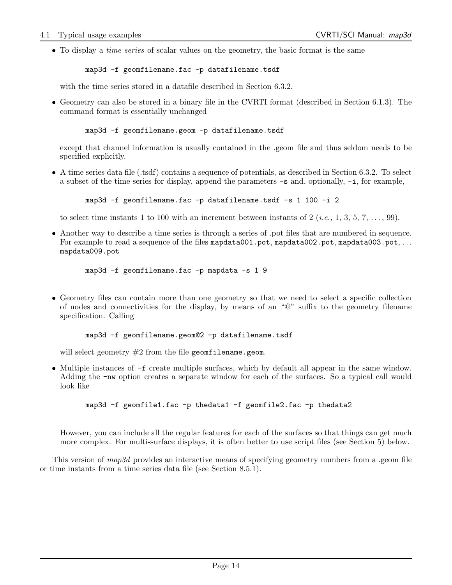• To display a *time series* of scalar values on the geometry, the basic format is the same

```
map3d -f geomfilename.fac -p datafilename.tsdf
```
with the time series stored in a datafile described in Section 6.3.2.

• Geometry can also be stored in a binary file in the CVRTI format (described in Section 6.1.3). The command format is essentially unchanged

```
map3d -f geomfilename.geom -p datafilename.tsdf
```
except that channel information is usually contained in the .geom file and thus seldom needs to be specified explicitly.

• A time series data file (.tsdf) contains a sequence of potentials, as described in Section 6.3.2. To select a subset of the time series for display, append the parameters  $-\mathbf{s}$  and, optionally,  $-\mathbf{i}$ , for example,

```
map3d -f geomfilename.fac -p datafilename.tsdf -s 1 100 -i 2
```
to select time instants 1 to 100 with an increment between instants of 2 (*i.e.*, 1, 3, 5, 7, ..., 99).

• Another way to describe a time series is through a series of .pot files that are numbered in sequence. For example to read a sequence of the files mapdata001.pot, mapdata002.pot, mapdata003.pot, ... mapdata009.pot

```
map3d -f geomfilename.fac -p mapdata -s 1 9
```
• Geometry files can contain more than one geometry so that we need to select a specific collection of nodes and connectivities for the display, by means of an "@" suffix to the geometry filename specification. Calling

```
map3d -f geomfilename.geom@2 -p datafilename.tsdf
```
will select geometry  $#2$  from the file geomfilename.geom.

• Multiple instances of -f create multiple surfaces, which by default all appear in the same window. Adding the -nw option creates a separate window for each of the surfaces. So a typical call would look like

```
map3d -f geomfile1.fac -p thedata1 -f geomfile2.fac -p thedata2
```
However, you can include all the regular features for each of the surfaces so that things can get much more complex. For multi-surface displays, it is often better to use script files (see Section 5) below.

This version of map3d provides an interactive means of specifying geometry numbers from a .geom file or time instants from a time series data file (see Section 8.5.1).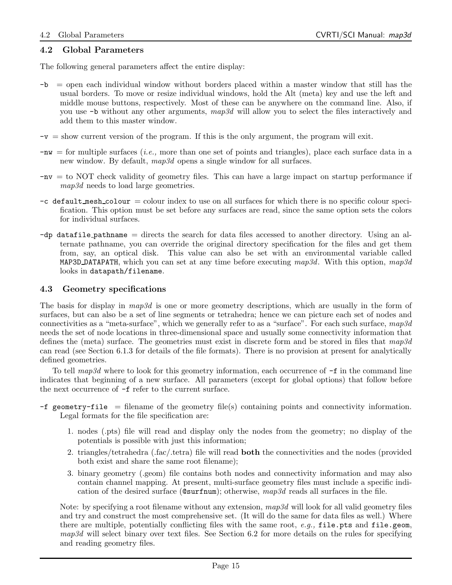### 4.2 Global Parameters

The following general parameters affect the entire display:

- -b = open each individual window without borders placed within a master window that still has the usual borders. To move or resize individual windows, hold the Alt (meta) key and use the left and middle mouse buttons, respectively. Most of these can be anywhere on the command line. Also, if you use  $-b$  without any other arguments, map3d will allow you to select the files interactively and add them to this master window.
- $-v =$  show current version of the program. If this is the only argument, the program will exit.
- $-w =$  for multiple surfaces (*i.e.*, more than one set of points and triangles), place each surface data in a new window. By default,  $map3d$  opens a single window for all surfaces.
- -nv = to NOT check validity of geometry files. This can have a large impact on startup performance if map3d needs to load large geometries.
- $-c$  default mesh colour  $=$  colour index to use on all surfaces for which there is no specific colour specification. This option must be set before any surfaces are read, since the same option sets the colors for individual surfaces.
- $-dp$  datafile pathname  $=$  directs the search for data files accessed to another directory. Using an alternate pathname, you can override the original directory specification for the files and get them from, say, an optical disk. This value can also be set with an environmental variable called MAP3D DATAPATH, which you can set at any time before executing  $map3d$ . With this option,  $map3d$ looks in datapath/filename.

#### 4.3 Geometry specifications

The basis for display in map3d is one or more geometry descriptions, which are usually in the form of surfaces, but can also be a set of line segments or tetrahedra; hence we can picture each set of nodes and connectivities as a "meta-surface", which we generally refer to as a "surface". For each such surface,  $map3d$ needs the set of node locations in three-dimensional space and usually some connectivity information that defines the (meta) surface. The geometries must exist in discrete form and be stored in files that  $map3d$ can read (see Section 6.1.3 for details of the file formats). There is no provision at present for analytically defined geometries.

To tell  $map3d$  where to look for this geometry information, each occurrence of  $-f$  in the command line indicates that beginning of a new surface. All parameters (except for global options) that follow before the next occurrence of -f refer to the current surface.

- $-f$  geometry-file = filename of the geometry file(s) containing points and connectivity information. Legal formats for the file specification are:
	- 1. nodes (.pts) file will read and display only the nodes from the geometry; no display of the potentials is possible with just this information;
	- 2. triangles/tetrahedra (.fac/.tetra) file will read **both** the connectivities and the nodes (provided both exist and share the same root filename);
	- 3. binary geometry (.geom) file contains both nodes and connectivity information and may also contain channel mapping. At present, multi-surface geometry files must include a specific indication of the desired surface ( $\text{Csurfnum}$ ); otherwise,  $map3d$  reads all surfaces in the file.

Note: by specifying a root filename without any extension,  $map3d$  will look for all valid geometry files and try and construct the most comprehensive set. (It will do the same for data files as well.) Where there are multiple, potentially conflicting files with the same root,  $e.q.$ , file.pts and file.geom,  $map3d$  will select binary over text files. See Section 6.2 for more details on the rules for specifying and reading geometry files.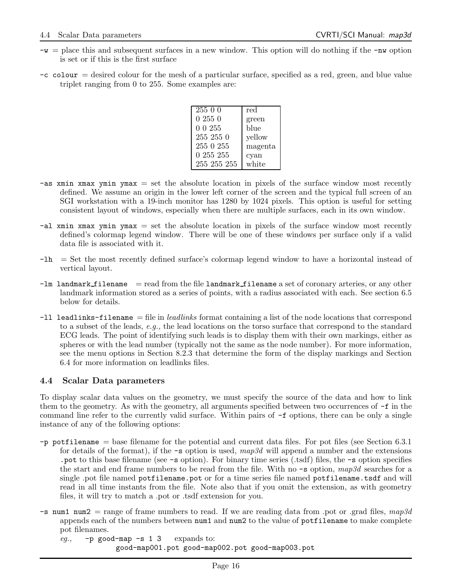- $-w =$  place this and subsequent surfaces in a new window. This option will do nothing if the  $-w$  option is set or if this is the first surface
- $-c$  colour  $=$  desired colour for the mesh of a particular surface, specified as a red, green, and blue value triplet ranging from 0 to 255. Some examples are:

| $\overline{255}00$ | red     |
|--------------------|---------|
| 02550              | green   |
| 00255              | blue    |
| $255\,255\,0$      | yellow  |
| 255 0 255          | magenta |
| 0 255 255          | cyan    |
| 255 255 255        | white   |

- $-\text{as xmin xmax ymin ymax}$  = set the absolute location in pixels of the surface window most recently defined. We assume an origin in the lower left corner of the screen and the typical full screen of an SGI workstation with a 19-inch monitor has 1280 by 1024 pixels. This option is useful for setting consistent layout of windows, especially when there are multiple surfaces, each in its own window.
- $\text{-al xmin xmax ymin ymax}$  = set the absolute location in pixels of the surface window most recently defined's colormap legend window. There will be one of these windows per surface only if a valid data file is associated with it.
- -lh = Set the most recently defined surface's colormap legend window to have a horizontal instead of vertical layout.
- $-l$ m landmark filename = read from the file landmark filename a set of coronary arteries, or any other landmark information stored as a series of points, with a radius associated with each. See section 6.5 below for details.
- $-11$  leadlinks-filename  $=$  file in *leadlinks* format containing a list of the node locations that correspond to a subset of the leads, e.g., the lead locations on the torso surface that correspond to the standard ECG leads. The point of identifying such leads is to display them with their own markings, either as spheres or with the lead number (typically not the same as the node number). For more information, see the menu options in Section 8.2.3 that determine the form of the display markings and Section 6.4 for more information on leadlinks files.

## 4.4 Scalar Data parameters

To display scalar data values on the geometry, we must specify the source of the data and how to link them to the geometry. As with the geometry, all arguments specified between two occurrences of -f in the command line refer to the currently valid surface. Within pairs of -f options, there can be only a single instance of any of the following options:

- -p potfilename = base filename for the potential and current data files. For pot files (see Section 6.3.1 for details of the format), if the  $-\infty$  option is used, map3d will append a number and the extensions .pot to this base filename (see -s option). For binary time series (.tsdf) files, the -s option specifies the start and end frame numbers to be read from the file. With no  $-\mathbf{s}$  option, map3d searches for a single .pot file named potfilename.pot or for a time series file named potfilename.tsdf and will read in all time instants from the file. Note also that if you omit the extension, as with geometry files, it will try to match a .pot or .tsdf extension for you.
- $-$ s num1 num2 = range of frame numbers to read. If we are reading data from .pot or .grad files, map3d appends each of the numbers between num1 and num2 to the value of potfilename to make complete pot filenames.

eg.,  $-p$  good-map -s 1 3 expands to: good-map001.pot good-map002.pot good-map003.pot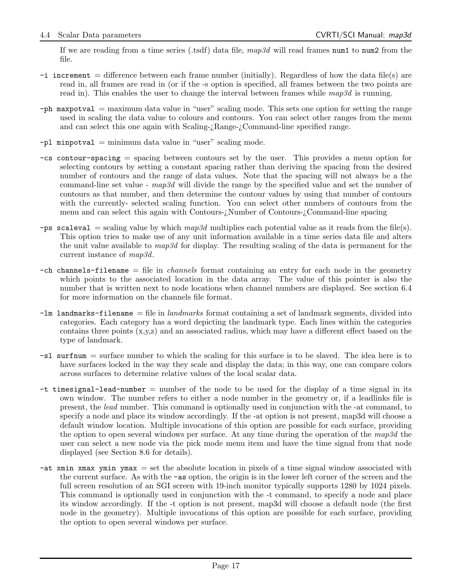If we are reading from a time series (.tsdf) data file,  $map3d$  will read frames num1 to num2 from the file.

- $-i$  increment = difference between each frame number (initially). Regardless of how the data file(s) are read in, all frames are read in (or if the -s option is specified, all frames between the two points are read in). This enables the user to change the interval between frames while  $map3d$  is running.
- -ph maxpotval = maximum data value in "user" scaling mode. This sets one option for setting the range used in scaling the data value to colours and contours. You can select other ranges from the menu and can select this one again with Scaling-¿Range-¿Command-line specified range.
- $-p1$  minpotval = minimum data value in "user" scaling mode.
- -cs contour-spacing = spacing between contours set by the user. This provides a menu option for selecting contours by setting a constant spacing rather than deriving the spacing from the desired number of contours and the range of data values. Note that the spacing will not always be a the command-line set value - map3d will divide the range by the specified value and set the number of contours as that number, and then determine the contour values by using that number of contours with the currently- selected scaling function. You can select other numbers of contours from the menu and can select this again with Contours-¿Number of Contours-¿Command-line spacing
- -ps scaleval = scaling value by which  $map3d$  multiplies each potential value as it reads from the file(s). This option tries to make use of any unit information available in a time series data file and alters the unit value available to  $map3d$  for display. The resulting scaling of the data is permanent for the current instance of map3d.
- $-\text{ch}$  channels-filename  $=\text{file}$  in *channels* format containing an entry for each node in the geometry which points to the associated location in the data array. The value of this pointer is also the number that is written next to node locations when channel numbers are displayed. See section 6.4 for more information on the channels file format.
- $-\mathsf{Im}$  landmarks-filename = file in landmarks format containing a set of landmark segments, divided into categories. Each category has a word depicting the landmark type. Each lines within the categories contains three points (x,y,z) and an associated radius, which may have a different effect based on the type of landmark.
- -sl surfnum = surface number to which the scaling for this surface is to be slaved. The idea here is to have surfaces locked in the way they scale and display the data; in this way, one can compare colors across surfaces to determine relative values of the local scalar data.
- $-t$  timesignal-lead-number  $=$  number of the node to be used for the display of a time signal in its own window. The number refers to either a node number in the geometry or, if a leadlinks file is present, the lead number. This command is optionally used in conjunction with the -at command, to specify a node and place its window accordingly. If the -at option is not present, map3d will choose a default window location. Multiple invocations of this option are possible for each surface, providing the option to open several windows per surface. At any time during the operation of the  $map3d$  the user can select a new node via the pick mode menu item and have the time signal from that node displayed (see Section 8.6 for details).
- $-\text{at } x$  xmin xmax ymin ymax = set the absolute location in pixels of a time signal window associated with the current surface. As with the -as option, the origin is in the lower left corner of the screen and the full screen resolution of an SGI screen with 19-inch monitor typically supports 1280 by 1024 pixels. This command is optionally used in conjunction with the -t command, to specify a node and place its window accordingly. If the -t option is not present, map3d will choose a default node (the first node in the geometry). Multiple invocations of this option are possible for each surface, providing the option to open several windows per surface.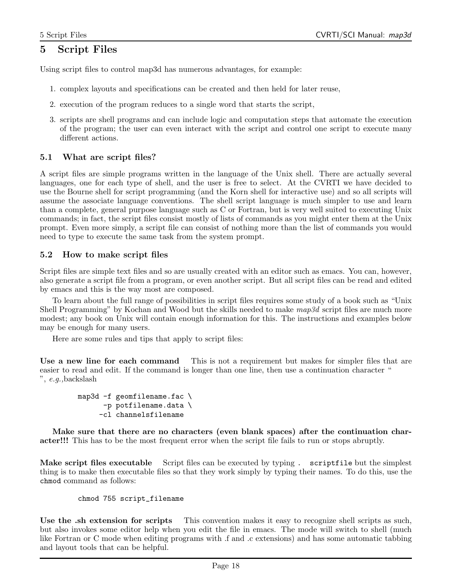## 5 Script Files

Using script files to control map3d has numerous advantages, for example:

- 1. complex layouts and specifications can be created and then held for later reuse,
- 2. execution of the program reduces to a single word that starts the script,
- 3. scripts are shell programs and can include logic and computation steps that automate the execution of the program; the user can even interact with the script and control one script to execute many different actions.

## 5.1 What are script files?

A script files are simple programs written in the language of the Unix shell. There are actually several languages, one for each type of shell, and the user is free to select. At the CVRTI we have decided to use the Bourne shell for script programming (and the Korn shell for interactive use) and so all scripts will assume the associate language conventions. The shell script language is much simpler to use and learn than a complete, general purpose language such as C or Fortran, but is very well suited to executing Unix commands; in fact, the script files consist mostly of lists of commands as you might enter them at the Unix prompt. Even more simply, a script file can consist of nothing more than the list of commands you would need to type to execute the same task from the system prompt.

## 5.2 How to make script files

Script files are simple text files and so are usually created with an editor such as emacs. You can, however, also generate a script file from a program, or even another script. But all script files can be read and edited by emacs and this is the way most are composed.

To learn about the full range of possibilities in script files requires some study of a book such as "Unix Shell Programming" by Kochan and Wood but the skills needed to make  $map3d$  script files are much more modest; any book on Unix will contain enough information for this. The instructions and examples below may be enough for many users.

Here are some rules and tips that apply to script files:

Use a new line for each command This is not a requirement but makes for simpler files that are easier to read and edit. If the command is longer than one line, then use a continuation character " ", e.g.,backslash

```
map3d -f geomfilename.fac \
      -p potfilename.data \
     -cl channelsfilename
```
Make sure that there are no characters (even blank spaces) after the continuation character!!! This has to be the most frequent error when the script file fails to run or stops abruptly.

Make script files executable Script files can be executed by typing . scriptfile but the simplest thing is to make then executable files so that they work simply by typing their names. To do this, use the chmod command as follows:

#### chmod 755 script\_filename

Use the .sh extension for scripts This convention makes it easy to recognize shell scripts as such, but also invokes some editor help when you edit the file in emacs. The mode will switch to shell (much like Fortran or C mode when editing programs with .f and .c extensions) and has some automatic tabbing and layout tools that can be helpful.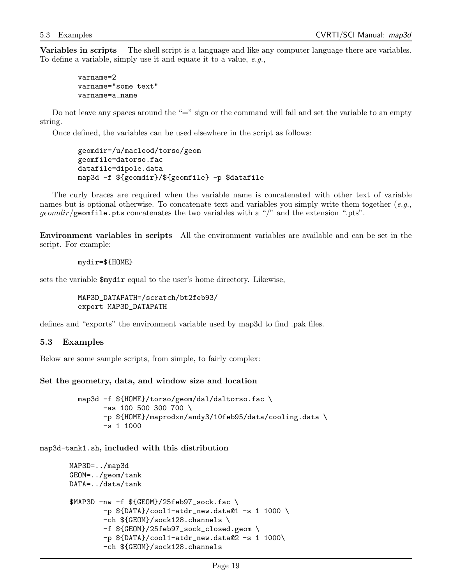Variables in scripts The shell script is a language and like any computer language there are variables. To define a variable, simply use it and equate it to a value, e.g.,

varname=2 varname="some text" varname=a\_name

Do not leave any spaces around the "=" sign or the command will fail and set the variable to an empty string.

Once defined, the variables can be used elsewhere in the script as follows:

```
geomdir=/u/macleod/torso/geom
geomfile=datorso.fac
datafile=dipole.data
map3d -f ${geomdir}/${geomfile} -p $datafile
```
The curly braces are required when the variable name is concatenated with other text of variable names but is optional otherwise. To concatenate text and variables you simply write them together  $(e.g.,)$  $geomdir/g$  comfile.pts concatenates the two variables with a "/" and the extension ".pts".

Environment variables in scripts All the environment variables are available and can be set in the script. For example:

mydir=\${HOME}

sets the variable \$mydir equal to the user's home directory. Likewise,

MAP3D\_DATAPATH=/scratch/bt2feb93/ export MAP3D\_DATAPATH

defines and "exports" the environment variable used by map3d to find .pak files.

#### 5.3 Examples

Below are some sample scripts, from simple, to fairly complex:

#### Set the geometry, data, and window size and location

```
map3d -f ${HOME}/torso/geom/dal/daltorso.fac \
      -as 100 500 300 700 \
      -p ${HOME}/maprodxn/andy3/10feb95/data/cooling.data \
      -s 1 1000
```
map3d-tank1.sh, included with this distribution

```
MAP3D=../map3d
GEOM=../geom/tank
DATA=../data/tank
$MAP3D -nw -f ${GEOM}/25feb97_sock.fac \
        -p ${DATA}/cool1-atdr_new.data@1 -s 1 1000 \
        -ch ${GEOM}/sock128.channels \
        -f ${GEOM}/25feb97_sock_closed.geom \
        -p $\{DATA\}/cool1-atdr_new.data@2 -s 1 1000\-ch ${GEOM}/sock128.channels
```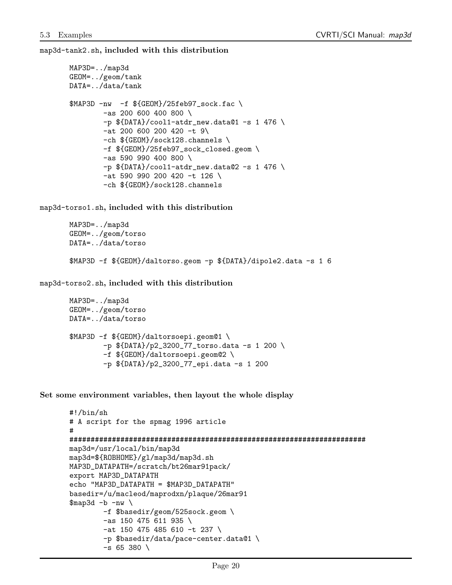map3d-tank2.sh, included with this distribution

```
MAP3D=../map3d
GEOM=../geom/tank
DATA=../data/tank
$MAP3D -nw -f ${GEDM}/25feb97 sock.fac \
        -as 200 600 400 800 \
        -p $\{DATA\}/cool1-atdr_new.data@1 -s 1 476 \-at 200 600 200 420 -t 9\
        -ch ${GEOM}/sock128.channels \
        -f ${GEOM}/25feb97_sock_closed.geom \
        -as 590 990 400 800 \
        -p ${DATA}/cool1-atdr_new.data@2 -s 1 476 \
        -at 590 990 200 420 -t 126 \
        -ch ${GEOM}/sock128.channels
```
map3d-torso1.sh, included with this distribution

```
MAP3D=../map3d
GEOM=../geom/torso
DATA=../data/torso
$MAP3D -f ${GEOM}/daltorso.geom -p ${DATA}/dipole2.data -s 1 6
```
map3d-torso2.sh, included with this distribution

```
MAP3D=../map3d
GEOM=../geom/torso
DATA=../data/torso
$MAP3D -f ${GEOM}/daltorsoepi.geom@1 \
        -p ${DATA}/p2_3200_77_torso.data -s 1 200 \
        -f ${GEOM}/daltorsoepi.geom@2 \
        -p ${DATA}/p2_3200_77_epi.data -s 1 200
```
Set some environment variables, then layout the whole display

```
#!/bin/sh
# A script for the spmag 1996 article
#
######################################################################
map3d=/usr/local/bin/map3d
map3d=${ROBHOME}/gl/map3d/map3d.sh
MAP3D_DATAPATH=/scratch/bt26mar91pack/
export MAP3D_DATAPATH
echo "MAP3D_DATAPATH = $MAP3D_DATAPATH"
basedir=/u/macleod/maprodxn/plaque/26mar91
\frac{m}{2}ap3d -b -nw
        -f $basedir/geom/525sock.geom \
        -as 150 475 611 935 \
        -at 150 475 485 610 -t 237 \
        -p $basedir/data/pace-center.data@1 \
        -s 65 380 \
```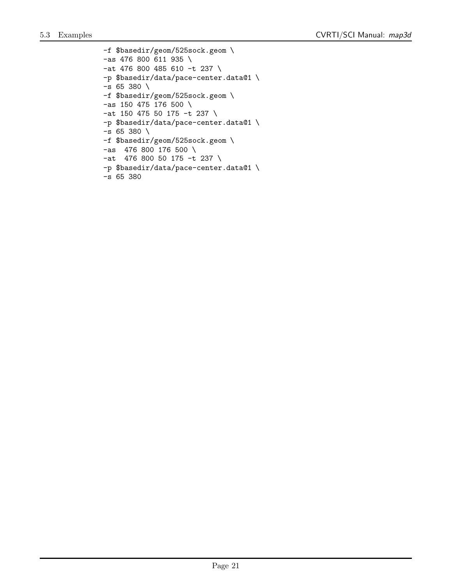-f \$basedir/geom/525sock.geom \ -as 476 800 611 935 \ -at 476 800 485 610 -t 237 \ -p \$basedir/data/pace-center.data@1 \ -s 65 380 \ -f \$basedir/geom/525sock.geom \ -as 150 475 176 500 \ -at 150 475 50 175 -t 237 \ -p \$basedir/data/pace-center.data@1 \  $-s$  65 380 \ -f \$basedir/geom/525sock.geom \ -as 476 800 176 500 \ -at 476 800 50 175 -t 237 \ -p \$basedir/data/pace-center.data@1 \ -s 65 380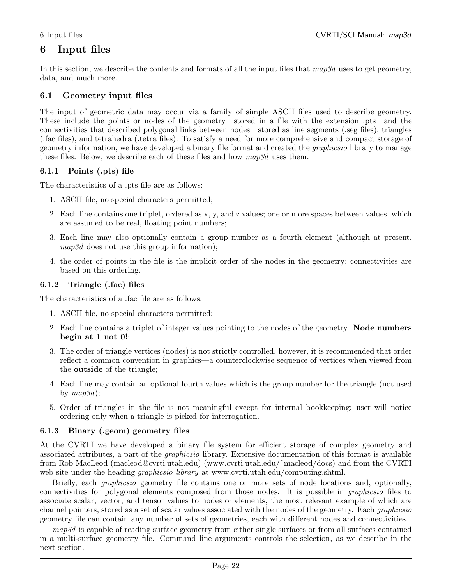## 6 Input files

In this section, we describe the contents and formats of all the input files that  $map3d$  uses to get geometry, data, and much more.

## 6.1 Geometry input files

The input of geometric data may occur via a family of simple ASCII files used to describe geometry. These include the points or nodes of the geometry—stored in a file with the extension .pts—and the connectivities that described polygonal links between nodes—stored as line segments (.seg files), triangles (.fac files), and tetrahedra (.tetra files). To satisfy a need for more comprehensive and compact storage of geometry information, we have developed a binary file format and created the graphicsio library to manage these files. Below, we describe each of these files and how  $map3d$  uses them.

## 6.1.1 Points (.pts) file

The characteristics of a .pts file are as follows:

- 1. ASCII file, no special characters permitted;
- 2. Each line contains one triplet, ordered as x, y, and z values; one or more spaces between values, which are assumed to be real, floating point numbers;
- 3. Each line may also optionally contain a group number as a fourth element (although at present, map3d does not use this group information);
- 4. the order of points in the file is the implicit order of the nodes in the geometry; connectivities are based on this ordering.

## 6.1.2 Triangle (.fac) files

The characteristics of a .fac file are as follows:

- 1. ASCII file, no special characters permitted;
- 2. Each line contains a triplet of integer values pointing to the nodes of the geometry. Node numbers begin at 1 not 0!;
- 3. The order of triangle vertices (nodes) is not strictly controlled, however, it is recommended that order reflect a common convention in graphics—a counterclockwise sequence of vertices when viewed from the outside of the triangle;
- 4. Each line may contain an optional fourth values which is the group number for the triangle (not used by  $map3d$ ;
- 5. Order of triangles in the file is not meaningful except for internal bookkeeping; user will notice ordering only when a triangle is picked for interrogation.

## 6.1.3 Binary (.geom) geometry files

At the CVRTI we have developed a binary file system for efficient storage of complex geometry and associated attributes, a part of the graphicsio library. Extensive documentation of this format is available from Rob MacLeod (macleod@cvrti.utah.edu) (www.cvrti.utah.edu/˜macleod/docs) and from the CVRTI web site under the heading *graphicsio library* at www.cvrti.utah.edu/computing.shtml.

Briefly, each graphicsio geometry file contains one or more sets of node locations and, optionally, connectivities for polygonal elements composed from those nodes. It is possible in graphicsio files to associate scalar, vector, and tensor values to nodes or elements, the most relevant example of which are channel pointers, stored as a set of scalar values associated with the nodes of the geometry. Each graphicsio geometry file can contain any number of sets of geometries, each with different nodes and connectivities.

map3d is capable of reading surface geometry from either single surfaces or from all surfaces contained in a multi-surface geometry file. Command line arguments controls the selection, as we describe in the next section.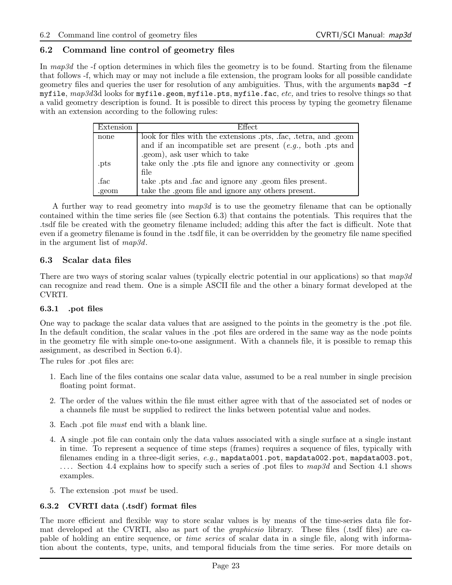## 6.2 Command line control of geometry files

In map3d the -f option determines in which files the geometry is to be found. Starting from the filename that follows -f, which may or may not include a file extension, the program looks for all possible candidate geometry files and queries the user for resolution of any ambiguities. Thus, with the arguments map3d -f myfile,  $map3d3d$  looks for myfile.geom, myfile.pts, myfile.fac, etc, and tries to resolve things so that a valid geometry description is found. It is possible to direct this process by typing the geometry filename with an extension according to the following rules:

| Extension | <b>Effect</b>                                                    |  |  |  |  |
|-----------|------------------------------------------------------------------|--|--|--|--|
| none      | look for files with the extensions .pts, .fac, .tetra, and .geom |  |  |  |  |
|           | and if an incompatible set are present $(e.g., both.pts and)$    |  |  |  |  |
|           | .geom), ask user which to take                                   |  |  |  |  |
| .pts      | take only the pts file and ignore any connectivity or geom       |  |  |  |  |
|           | file                                                             |  |  |  |  |
| .fac      | take pts and fac and ignore any geom files present.              |  |  |  |  |
| .geom     | take the .geom file and ignore any others present.               |  |  |  |  |

A further way to read geometry into  $map3d$  is to use the geometry filename that can be optionally contained within the time series file (see Section 6.3) that contains the potentials. This requires that the .tsdf file be created with the geometry filename included; adding this after the fact is difficult. Note that even if a geometry filename is found in the .tsdf file, it can be overridden by the geometry file name specified in the argument list of map3d.

## 6.3 Scalar data files

There are two ways of storing scalar values (typically electric potential in our applications) so that  $map3d$ can recognize and read them. One is a simple ASCII file and the other a binary format developed at the CVRTI.

## 6.3.1 .pot files

One way to package the scalar data values that are assigned to the points in the geometry is the .pot file. In the default condition, the scalar values in the .pot files are ordered in the same way as the node points in the geometry file with simple one-to-one assignment. With a channels file, it is possible to remap this assignment, as described in Section 6.4).

The rules for .pot files are:

- 1. Each line of the files contains one scalar data value, assumed to be a real number in single precision floating point format.
- 2. The order of the values within the file must either agree with that of the associated set of nodes or a channels file must be supplied to redirect the links between potential value and nodes.
- 3. Each .pot file must end with a blank line.
- 4. A single .pot file can contain only the data values associated with a single surface at a single instant in time. To represent a sequence of time steps (frames) requires a sequence of files, typically with filenames ending in a three-digit series,  $e.g.,$  mapdata001.pot, mapdata002.pot, mapdata003.pot, .... Section 4.4 explains how to specify such a series of pot files to map3d and Section 4.1 shows examples.
- 5. The extension .pot must be used.

## 6.3.2 CVRTI data (.tsdf) format files

The more efficient and flexible way to store scalar values is by means of the time-series data file format developed at the CVRTI, also as part of the graphicsio library. These files (.tsdf files) are capable of holding an entire sequence, or time series of scalar data in a single file, along with information about the contents, type, units, and temporal fiducials from the time series. For more details on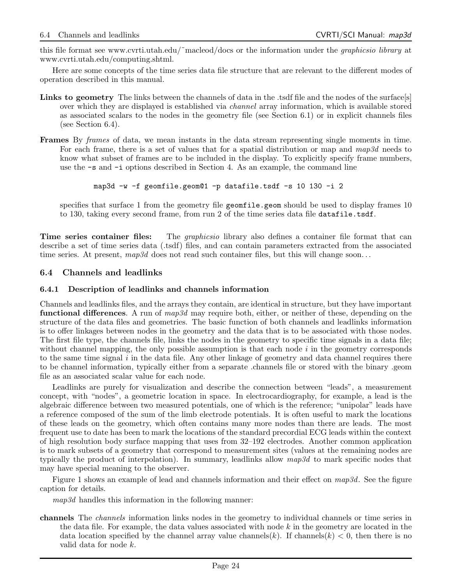this file format see www.cvrti.utah.edu/ $\check{\ }$ macleod/docs or the information under the *graphicsio library* at www.cvrti.utah.edu/computing.shtml.

Here are some concepts of the time series data file structure that are relevant to the different modes of operation described in this manual.

- Links to geometry The links between the channels of data in the .tsdf file and the nodes of the surface[s] over which they are displayed is established via channel array information, which is available stored as associated scalars to the nodes in the geometry file (see Section 6.1) or in explicit channels files (see Section 6.4).
- Frames By frames of data, we mean instants in the data stream representing single moments in time. For each frame, there is a set of values that for a spatial distribution or map and  $map3d$  needs to know what subset of frames are to be included in the display. To explicitly specify frame numbers, use the -s and -i options described in Section 4. As an example, the command line

```
map3d -w -f geomfile.geom@1 -p datafile.tsdf -s 10 130 -i 2
```
specifies that surface 1 from the geometry file geometrie.geom should be used to display frames 10 to 130, taking every second frame, from run 2 of the time series data file datafile.tsdf.

**Time series container files:** The *graphicsio* library also defines a container file format that can describe a set of time series data (.tsdf) files, and can contain parameters extracted from the associated time series. At present,  $map3d$  does not read such container files, but this will change soon...

## 6.4 Channels and leadlinks

#### 6.4.1 Description of leadlinks and channels information

Channels and leadlinks files, and the arrays they contain, are identical in structure, but they have important functional differences. A run of map3d may require both, either, or neither of these, depending on the structure of the data files and geometries. The basic function of both channels and leadlinks information is to offer linkages between nodes in the geometry and the data that is to be associated with those nodes. The first file type, the channels file, links the nodes in the geometry to specific time signals in a data file; without channel mapping, the only possible assumption is that each node  $i$  in the geometry corresponds to the same time signal  $i$  in the data file. Any other linkage of geometry and data channel requires there to be channel information, typically either from a separate .channels file or stored with the binary .geom file as an associated scalar value for each node.

Leadlinks are purely for visualization and describe the connection between "leads", a measurement concept, with "nodes", a geometric location in space. In electrocardiography, for example, a lead is the algebraic difference between two measured potentials, one of which is the reference; "unipolar" leads have a reference composed of the sum of the limb electrode potentials. It is often useful to mark the locations of these leads on the geometry, which often contains many more nodes than there are leads. The most frequent use to date has been to mark the locations of the standard precordial ECG leads within the context of high resolution body surface mapping that uses from 32–192 electrodes. Another common application is to mark subsets of a geometry that correspond to measurement sites (values at the remaining nodes are typically the product of interpolation). In summary, leadlinks allow  $map3d$  to mark specific nodes that may have special meaning to the observer.

Figure 1 shows an example of lead and channels information and their effect on  $map3d$ . See the figure caption for details.

map3d handles this information in the following manner:

channels The channels information links nodes in the geometry to individual channels or time series in the data file. For example, the data values associated with node  $k$  in the geometry are located in the data location specified by the channel array value channels(k). If channels(k)  $< 0$ , then there is no valid data for node k.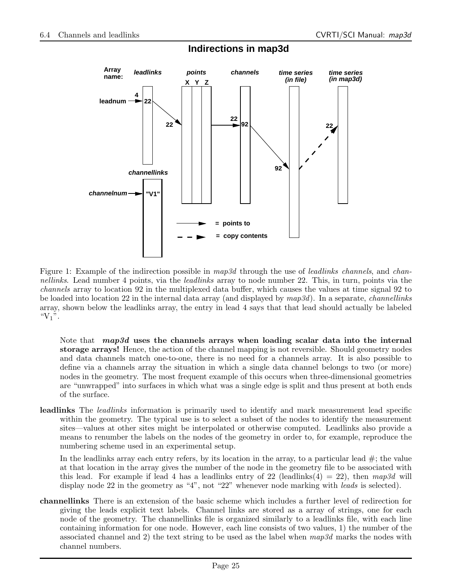

## **Indirections in map3d**

Figure 1: Example of the indirection possible in map3d through the use of leadlinks channels, and channellinks. Lead number 4 points, via the leadlinks array to node number 22. This, in turn, points via the channels array to location 92 in the multiplexed data buffer, which causes the values at time signal 92 to be loaded into location 22 in the internal data array (and displayed by  $map3d$ ). In a separate, *channellinks* array, shown below the leadlinks array, the entry in lead 4 says that that lead should actually be labeled " $V_1$ ".

Note that *map3d* uses the channels arrays when loading scalar data into the internal storage arrays! Hence, the action of the channel mapping is not reversible. Should geometry nodes and data channels match one-to-one, there is no need for a channels array. It is also possible to define via a channels array the situation in which a single data channel belongs to two (or more) nodes in the geometry. The most frequent example of this occurs when three-dimensional geometries are "unwrapped" into surfaces in which what was a single edge is split and thus present at both ends of the surface.

leadlinks The *leadlinks* information is primarily used to identify and mark measurement lead specific within the geometry. The typical use is to select a subset of the nodes to identify the measurement sites—values at other sites might be interpolated or otherwise computed. Leadlinks also provide a means to renumber the labels on the nodes of the geometry in order to, for example, reproduce the numbering scheme used in an experimental setup.

In the leadlinks array each entry refers, by its location in the array, to a particular lead  $\#$ ; the value at that location in the array gives the number of the node in the geometry file to be associated with this lead. For example if lead 4 has a leadlinks entry of 22 (leadlinks(4) = 22), then  $map3d$  will display node 22 in the geometry as "4", not "22" whenever node marking with *leads* is selected).

channellinks There is an extension of the basic scheme which includes a further level of redirection for giving the leads explicit text labels. Channel links are stored as a array of strings, one for each node of the geometry. The channellinks file is organized similarly to a leadlinks file, with each line containing information for one node. However, each line consists of two values, 1) the number of the associated channel and 2) the text string to be used as the label when  $map3d$  marks the nodes with channel numbers.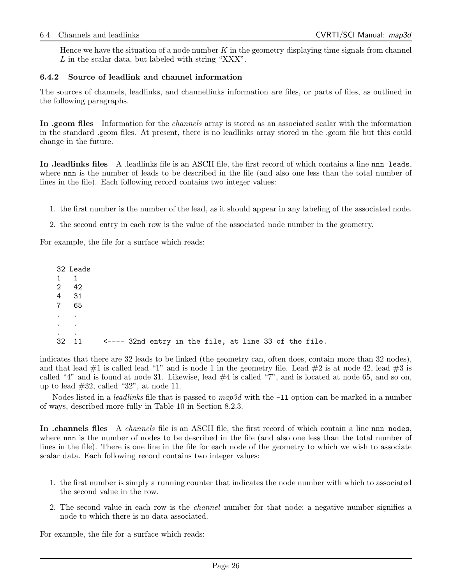Hence we have the situation of a node number  $K$  in the geometry displaying time signals from channel L in the scalar data, but labeled with string "XXX".

#### 6.4.2 Source of leadlink and channel information

The sources of channels, leadlinks, and channellinks information are files, or parts of files, as outlined in the following paragraphs.

In .geom files Information for the *channels* array is stored as an associated scalar with the information in the standard .geom files. At present, there is no leadlinks array stored in the .geom file but this could change in the future.

In .leadlinks files A .leadlinks file is an ASCII file, the first record of which contains a line nnn leads, where nnn is the number of leads to be described in the file (and also one less than the total number of lines in the file). Each following record contains two integer values:

- 1. the first number is the number of the lead, as it should appear in any labeling of the associated node.
- 2. the second entry in each row is the value of the associated node number in the geometry.

For example, the file for a surface which reads:

|                              | 32 Leads                 |                                                       |  |  |  |  |  |  |
|------------------------------|--------------------------|-------------------------------------------------------|--|--|--|--|--|--|
| $1 \quad 1$                  |                          |                                                       |  |  |  |  |  |  |
|                              | 2 42                     |                                                       |  |  |  |  |  |  |
|                              | 4 31                     |                                                       |  |  |  |  |  |  |
|                              | 7 65                     |                                                       |  |  |  |  |  |  |
| $\sim$ 100 $\sim$ 100 $\sim$ |                          |                                                       |  |  |  |  |  |  |
| $\sim$ $\sim$ $\sim$         |                          |                                                       |  |  |  |  |  |  |
| $\ddot{\phantom{0}}$         | $\overline{\phantom{a}}$ |                                                       |  |  |  |  |  |  |
|                              | 32 11                    | <---- 32nd entry in the file, at line 33 of the file. |  |  |  |  |  |  |

indicates that there are 32 leads to be linked (the geometry can, often does, contain more than 32 nodes), and that lead  $\#1$  is called lead "1" and is node 1 in the geometry file. Lead  $\#2$  is at node 42, lead  $\#3$  is called "4" and is found at node 31. Likewise, lead  $#4$  is called "7", and is located at node 65, and so on, up to lead  $#32$ , called "32", at node 11.

Nodes listed in a *leadlinks* file that is passed to  $map3d$  with the  $-11$  option can be marked in a number of ways, described more fully in Table 10 in Section 8.2.3.

In .channels files A *channels* file is an ASCII file, the first record of which contain a line nnn nodes, where nnn is the number of nodes to be described in the file (and also one less than the total number of lines in the file). There is one line in the file for each node of the geometry to which we wish to associate scalar data. Each following record contains two integer values:

- 1. the first number is simply a running counter that indicates the node number with which to associated the second value in the row.
- 2. The second value in each row is the *channel* number for that node; a negative number signifies a node to which there is no data associated.

For example, the file for a surface which reads: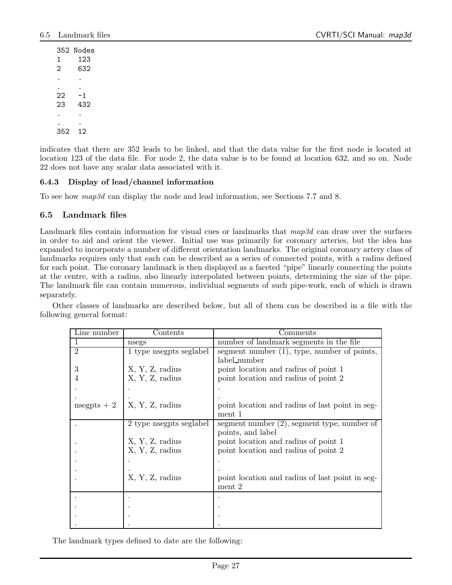352 Nodes 1 123 2 632 . . . .  $22 - 1$ 23 432 . . . . 352 12

indicates that there are 352 leads to be linked, and that the data value for the first node is located at location 123 of the data file. For node 2, the data value is to be found at location 632, and so on. Node 22 does not have any scalar data associated with it.

## 6.4.3 Display of lead/channel information

To see how map3d can display the node and lead information, see Sections 7.7 and 8.

## 6.5 Landmark files

Landmark files contain information for visual cues or landmarks that map3d can draw over the surfaces in order to aid and orient the viewer. Initial use was primarily for coronary arteries, but the idea has expanded to incorporate a number of different orientation landmarks. The original coronary artery class of landmarks requires only that each can be described as a series of connected points, with a radius defined for each point. The coronary landmark is then displayed as a faceted "pipe" linearly connecting the points at the centre, with a radius, also linearly interpolated between points, determining the size of the pipe. The landmark file can contain numerous, individual segments of such pipe-work, each of which is drawn separately.

Other classes of landmarks are described below, but all of them can be described in a file with the following general format:

| Line number    | $\text{Contents}$      | Comments                                        |  |
|----------------|------------------------|-------------------------------------------------|--|
|                | nsegs                  | number of landmark segments in the file         |  |
| $\overline{2}$ | 1 type negpts seglabel | segment number $(1)$ , type, number of points,  |  |
|                |                        | label_number                                    |  |
| 3              | X, Y, Z, radius        | point location and radius of point 1            |  |
|                | X, Y, Z, radius        | point location and radius of point 2            |  |
|                |                        |                                                 |  |
|                |                        |                                                 |  |
| nsegpts $+2$   | X, Y, Z, radius        | point location and radius of last point in seg- |  |
|                |                        | ment 1                                          |  |
|                | 2 type negpts seglabel | segment number $(2)$ , segment type, number of  |  |
|                |                        | points, and label                               |  |
|                | X, Y, Z, radius        | point location and radius of point 1            |  |
|                | X, Y, Z, radius        | point location and radius of point 2            |  |
|                |                        |                                                 |  |
|                |                        |                                                 |  |
|                | X, Y, Z, radius        | point location and radius of last point in seg- |  |
|                |                        | ment 2                                          |  |
|                |                        |                                                 |  |
|                |                        |                                                 |  |
|                |                        |                                                 |  |
|                |                        |                                                 |  |

The landmark types defined to date are the following: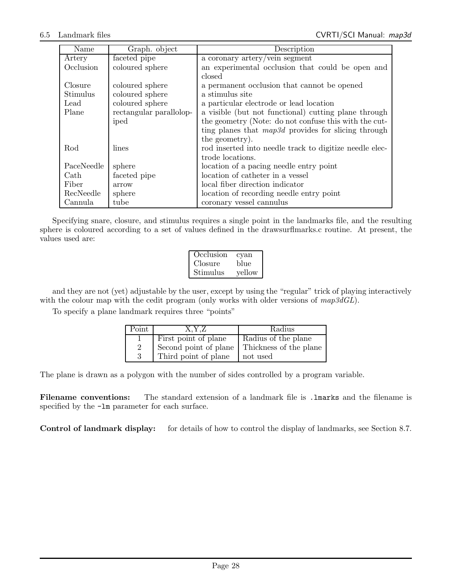| Name       | Graph. object           | Description                                             |
|------------|-------------------------|---------------------------------------------------------|
| Artery     | faceted pipe            | a coronary artery/vein segment                          |
| Occlusion  | coloured sphere         | an experimental occlusion that could be open and        |
|            |                         | closed                                                  |
| Closure    | coloured sphere         | a permanent occlusion that cannot be opened             |
| Stimulus   | coloured sphere         | a stimulus site                                         |
| Lead       | coloured sphere         | a particular electrode or lead location                 |
| Plane      | rectangular parallolop- | a visible (but not functional) cutting plane through    |
|            | iped                    | the geometry (Note: do not confuse this with the cut-   |
|            |                         | ting planes that $map3d$ provides for slicing through   |
|            |                         | the geometry).                                          |
| Rod        | lines                   | rod inserted into needle track to digitize needle elec- |
|            |                         | trode locations.                                        |
| PaceNeedle | sphere                  | location of a pacing needle entry point                 |
| Cath       | faceted pipe            | location of catheter in a vessel                        |
| Fiber      | arrow                   | local fiber direction indicator                         |
| RecNeedle  | sphere                  | location of recording needle entry point                |
| Cannula    | tube                    | coronary vessel cannulus                                |

Specifying snare, closure, and stimulus requires a single point in the landmarks file, and the resulting sphere is coloured according to a set of values defined in the drawsurflmarks.c routine. At present, the values used are:

| Occlusion | cyan   |
|-----------|--------|
| Closure   | blue   |
| Stimulus  | yellow |

and they are not (yet) adjustable by the user, except by using the "regular" trick of playing interactively with the colour map with the cedit program (only works with older versions of  $map3dGL$ ).

To specify a plane landmark requires three "points"

| Point | X.Y.Z                 | Radius                 |
|-------|-----------------------|------------------------|
|       | First point of plane  | Radius of the plane    |
| 2     | Second point of plane | Thickness of the plane |
| 3     | Third point of plane  | not used               |

The plane is drawn as a polygon with the number of sides controlled by a program variable.

Filename conventions: The standard extension of a landmark file is . Imarks and the filename is specified by the  $-\text{lm}$  parameter for each surface.

Control of landmark display: for details of how to control the display of landmarks, see Section 8.7.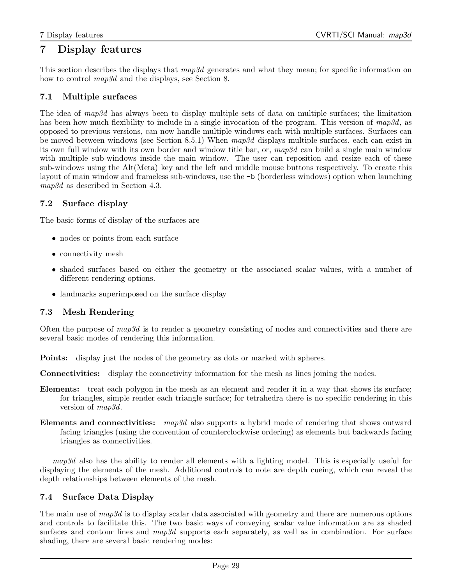## 7 Display features

This section describes the displays that  $map3d$  generates and what they mean; for specific information on how to control  $map3d$  and the displays, see Section 8.

## 7.1 Multiple surfaces

The idea of map3d has always been to display multiple sets of data on multiple surfaces; the limitation has been how much flexibility to include in a single invocation of the program. This version of map3d, as opposed to previous versions, can now handle multiple windows each with multiple surfaces. Surfaces can be moved between windows (see Section 8.5.1) When map3d displays multiple surfaces, each can exist in its own full window with its own border and window title bar, or, map3d can build a single main window with multiple sub-windows inside the main window. The user can reposition and resize each of these sub-windows using the Alt(Meta) key and the left and middle mouse buttons respectively. To create this layout of main window and frameless sub-windows, use the -b (borderless windows) option when launching map3d as described in Section 4.3.

## 7.2 Surface display

The basic forms of display of the surfaces are

- nodes or points from each surface
- connectivity mesh
- shaded surfaces based on either the geometry or the associated scalar values, with a number of different rendering options.
- landmarks superimposed on the surface display

## 7.3 Mesh Rendering

Often the purpose of  $map3d$  is to render a geometry consisting of nodes and connectivities and there are several basic modes of rendering this information.

Points: display just the nodes of the geometry as dots or marked with spheres.

Connectivities: display the connectivity information for the mesh as lines joining the nodes.

- Elements: treat each polygon in the mesh as an element and render it in a way that shows its surface; for triangles, simple render each triangle surface; for tetrahedra there is no specific rendering in this version of  $map3d$ .
- Elements and connectivities:  $map3d$  also supports a hybrid mode of rendering that shows outward facing triangles (using the convention of counterclockwise ordering) as elements but backwards facing triangles as connectivities.

map3d also has the ability to render all elements with a lighting model. This is especially useful for displaying the elements of the mesh. Additional controls to note are depth cueing, which can reveal the depth relationships between elements of the mesh.

## 7.4 Surface Data Display

The main use of map3d is to display scalar data associated with geometry and there are numerous options and controls to facilitate this. The two basic ways of conveying scalar value information are as shaded surfaces and contour lines and map3d supports each separately, as well as in combination. For surface shading, there are several basic rendering modes: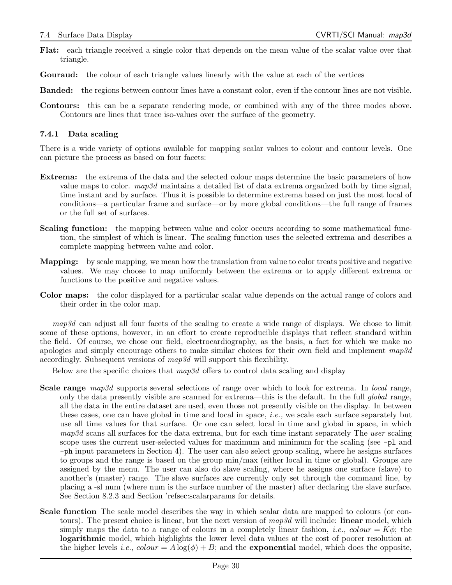- Flat: each triangle received a single color that depends on the mean value of the scalar value over that triangle.
- Gouraud: the colour of each triangle values linearly with the value at each of the vertices
- Banded: the regions between contour lines have a constant color, even if the contour lines are not visible.
- Contours: this can be a separate rendering mode, or combined with any of the three modes above. Contours are lines that trace iso-values over the surface of the geometry.

#### 7.4.1 Data scaling

There is a wide variety of options available for mapping scalar values to colour and contour levels. One can picture the process as based on four facets:

- Extrema: the extrema of the data and the selected colour maps determine the basic parameters of how value maps to color.  $map3d$  maintains a detailed list of data extrema organized both by time signal, time instant and by surface. Thus it is possible to determine extrema based on just the most local of conditions—a particular frame and surface—or by more global conditions—the full range of frames or the full set of surfaces.
- Scaling function: the mapping between value and color occurs according to some mathematical function, the simplest of which is linear. The scaling function uses the selected extrema and describes a complete mapping between value and color.
- Mapping: by scale mapping, we mean how the translation from value to color treats positive and negative values. We may choose to map uniformly between the extrema or to apply different extrema or functions to the positive and negative values.
- Color maps: the color displayed for a particular scalar value depends on the actual range of colors and their order in the color map.

map3d can adjust all four facets of the scaling to create a wide range of displays. We chose to limit some of these options, however, in an effort to create reproducible displays that reflect standard within the field. Of course, we chose our field, electrocardiography, as the basis, a fact for which we make no apologies and simply encourage others to make similar choices for their own field and implement  $map3d$ accordingly. Subsequent versions of map3d will support this flexibility.

Below are the specific choices that  $map3d$  offers to control data scaling and display

- **Scale range**  $map3d$  supports several selections of range over which to look for extrema. In *local* range, only the data presently visible are scanned for extrema—this is the default. In the full global range, all the data in the entire dataset are used, even those not presently visible on the display. In between these cases, one can have global in time and local in space, i.e., we scale each surface separately but use all time values for that surface. Or one can select local in time and global in space, in which  $map3d$  scans all surfaces for the data extrema, but for each time instant separately The user scaling scope uses the current user-selected values for maximum and minimum for the scaling (see  $-p1$  and -ph input parameters in Section 4). The user can also select group scaling, where he assigns surfaces to groups and the range is based on the group min/max (either local in time or global). Groups are assigned by the menu. The user can also do slave scaling, where he assigns one surface (slave) to another's (master) range. The slave surfaces are currently only set through the command line, by placing a -sl num (where num is the surface number of the master) after declaring the slave surface. See Section 8.2.3 and Section 'refsec:scalarparams for details.
- Scale function The scale model describes the way in which scalar data are mapped to colours (or contours). The present choice is linear, but the next version of  $map3d$  will include: **linear** model, which simply maps the data to a range of colours in a completely linear fashion, *i.e.*, colour =  $K\phi$ ; the logarithmic model, which highlights the lower level data values at the cost of poorer resolution at the higher levels *i.e., colour* =  $A \log(\phi) + B$ ; and the **exponential** model, which does the opposite,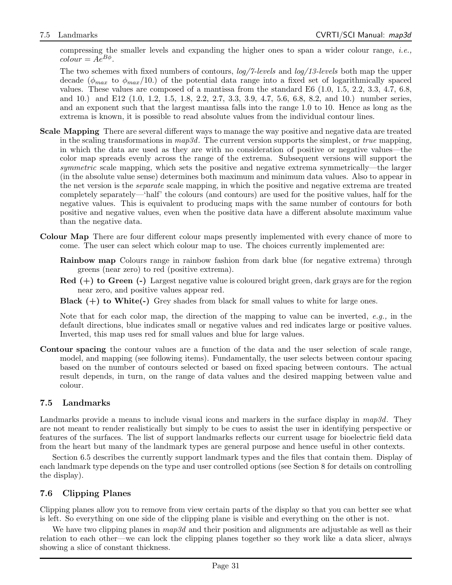compressing the smaller levels and expanding the higher ones to span a wider colour range, *i.e.*,  $colour = Ae^{B\phi}.$ 

The two schemes with fixed numbers of contours, log/7-levels and log/13-levels both map the upper decade ( $\phi_{max}$  to  $\phi_{max}/10$ .) of the potential data range into a fixed set of logarithmically spaced values. These values are composed of a mantissa from the standard E6 (1.0, 1.5, 2.2, 3.3, 4.7, 6.8, and 10.) and E12 (1.0, 1.2, 1.5, 1.8, 2.2, 2.7, 3.3, 3.9, 4.7, 5.6, 6.8, 8.2, and 10.) number series, and an exponent such that the largest mantissa falls into the range 1.0 to 10. Hence as long as the extrema is known, it is possible to read absolute values from the individual contour lines.

- Scale Mapping There are several different ways to manage the way positive and negative data are treated in the scaling transformations in  $map3d$ . The current version supports the simplest, or true mapping, in which the data are used as they are with no consideration of positive or negative values—the color map spreads evenly across the range of the extrema. Subsequent versions will support the symmetric scale mapping, which sets the positive and negative extrema symmetrically—the larger (in the absolute value sense) determines both maximum and minimum data values. Also to appear in the net version is the *separate* scale mapping, in which the positive and negative extrema are treated completely separately—'half' the colours (and contours) are used for the positive values, half for the negative values. This is equivalent to producing maps with the same number of contours for both positive and negative values, even when the positive data have a different absolute maximum value than the negative data.
- Colour Map There are four different colour maps presently implemented with every chance of more to come. The user can select which colour map to use. The choices currently implemented are:
	- Rainbow map Colours range in rainbow fashion from dark blue (for negative extrema) through greens (near zero) to red (positive extrema).
	- $\text{Red } (+)$  to Green  $(-)$  Largest negative value is coloured bright green, dark grays are for the region near zero, and positive values appear red.
	- **Black**  $(+)$  to White $(-)$  Grey shades from black for small values to white for large ones.

Note that for each color map, the direction of the mapping to value can be inverted,  $e.g.,$  in the default directions, blue indicates small or negative values and red indicates large or positive values. Inverted, this map uses red for small values and blue for large values.

Contour spacing the contour values are a function of the data and the user selection of scale range, model, and mapping (see following items). Fundamentally, the user selects between contour spacing based on the number of contours selected or based on fixed spacing between contours. The actual result depends, in turn, on the range of data values and the desired mapping between value and colour.

## 7.5 Landmarks

Landmarks provide a means to include visual icons and markers in the surface display in  $map3d$ . They are not meant to render realistically but simply to be cues to assist the user in identifying perspective or features of the surfaces. The list of support landmarks reflects our current usage for bioelectric field data from the heart but many of the landmark types are general purpose and hence useful in other contexts.

Section 6.5 describes the currently support landmark types and the files that contain them. Display of each landmark type depends on the type and user controlled options (see Section 8 for details on controlling the display).

## 7.6 Clipping Planes

Clipping planes allow you to remove from view certain parts of the display so that you can better see what is left. So everything on one side of the clipping plane is visible and everything on the other is not.

We have two clipping planes in  $map3d$  and their position and alignments are adjustable as well as their relation to each other—we can lock the clipping planes together so they work like a data slicer, always showing a slice of constant thickness.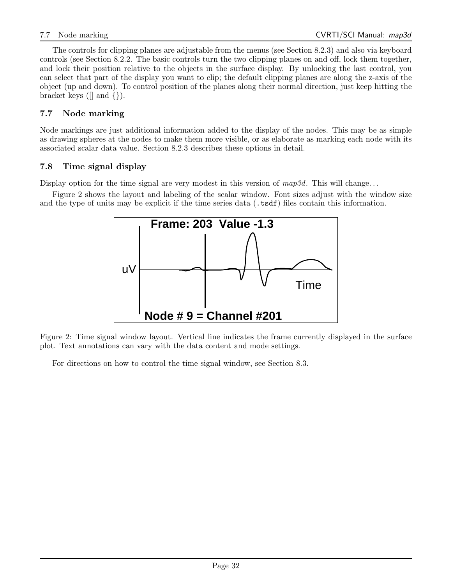The controls for clipping planes are adjustable from the menus (see Section 8.2.3) and also via keyboard controls (see Section 8.2.2. The basic controls turn the two clipping planes on and off, lock them together, and lock their position relative to the objects in the surface display. By unlocking the last control, you can select that part of the display you want to clip; the default clipping planes are along the z-axis of the object (up and down). To control position of the planes along their normal direction, just keep hitting the bracket keys ( $\lceil \rceil$  and  $\lceil \rceil$ ).

## 7.7 Node marking

Node markings are just additional information added to the display of the nodes. This may be as simple as drawing spheres at the nodes to make them more visible, or as elaborate as marking each node with its associated scalar data value. Section 8.2.3 describes these options in detail.

## 7.8 Time signal display

Display option for the time signal are very modest in this version of  $map3d$ . This will change...

Figure 2 shows the layout and labeling of the scalar window. Font sizes adjust with the window size and the type of units may be explicit if the time series data (.tsdf) files contain this information.



Figure 2: Time signal window layout. Vertical line indicates the frame currently displayed in the surface plot. Text annotations can vary with the data content and mode settings.

For directions on how to control the time signal window, see Section 8.3.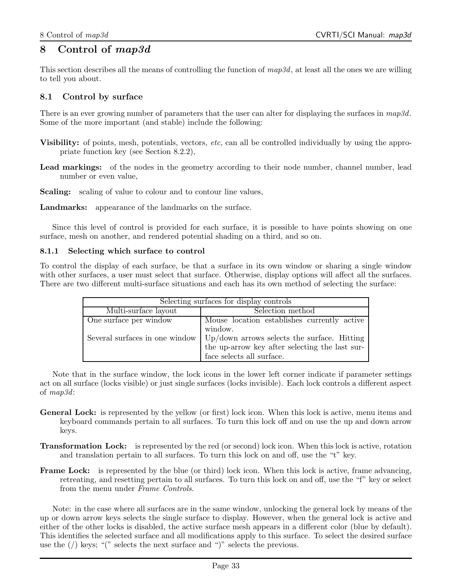## 8 Control of map3d

This section describes all the means of controlling the function of  $map3d$ , at least all the ones we are willing to tell you about.

## 8.1 Control by surface

There is an ever growing number of parameters that the user can alter for displaying the surfaces in  $map3d$ . Some of the more important (and stable) include the following:

- Visibility: of points, mesh, potentials, vectors, etc, can all be controlled individually by using the appropriate function key (see Section 8.2.2),
- Lead markings: of the nodes in the geometry according to their node number, channel number, lead number or even value,
- Scaling: scaling of value to colour and to contour line values,
- Landmarks: appearance of the landmarks on the surface.

Since this level of control is provided for each surface, it is possible to have points showing on one surface, mesh on another, and rendered potential shading on a third, and so on.

#### 8.1.1 Selecting which surface to control

To control the display of each surface, be that a surface in its own window or sharing a single window with other surfaces, a user must select that surface. Otherwise, display options will affect all the surfaces. There are two different multi-surface situations and each has its own method of selecting the surface:

| Selecting surfaces for display controls |                                                                                    |  |  |
|-----------------------------------------|------------------------------------------------------------------------------------|--|--|
| Multi-surface layout                    | Selection method                                                                   |  |  |
| One surface per window                  | Mouse location establishes currently active                                        |  |  |
|                                         | window.                                                                            |  |  |
|                                         | Several surfaces in one window $\vert$ Up/down arrows selects the surface. Hitting |  |  |
|                                         | the up-arrow key after selecting the last sur-                                     |  |  |
|                                         | face selects all surface.                                                          |  |  |

Note that in the surface window, the lock icons in the lower left corner indicate if parameter settings act on all surface (locks visible) or just single surfaces (locks invisible). Each lock controls a different aspect of map3d:

- General Lock: is represented by the yellow (or first) lock icon. When this lock is active, menu items and keyboard commands pertain to all surfaces. To turn this lock off and on use the up and down arrow keys.
- Transformation Lock: is represented by the red (or second) lock icon. When this lock is active, rotation and translation pertain to all surfaces. To turn this lock on and off, use the "t" key.
- Frame Lock: is represented by the blue (or third) lock icon. When this lock is active, frame advancing, retreating, and resetting pertain to all surfaces. To turn this lock on and off, use the "f" key or select from the menu under Frame Controls.

Note: in the case where all surfaces are in the same window, unlocking the general lock by means of the up or down arrow keys selects the single surface to display. However, when the general lock is active and either of the other locks is disabled, the active surface mesh appears in a different color (blue by default). This identifies the selected surface and all modifications apply to this surface. To select the desired surface use the  $\left(\frac{\ }{\ }$  keys; " $\right)$ " selects the next surface and " $\right)$ " selects the previous.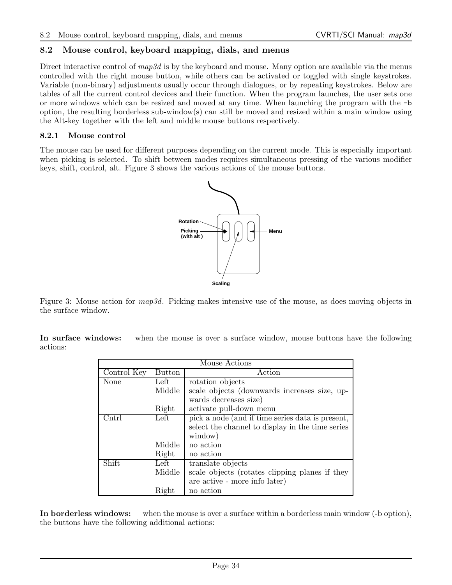## 8.2 Mouse control, keyboard mapping, dials, and menus

Direct interactive control of  $map3d$  is by the keyboard and mouse. Many option are available via the menus controlled with the right mouse button, while others can be activated or toggled with single keystrokes. Variable (non-binary) adjustments usually occur through dialogues, or by repeating keystrokes. Below are tables of all the current control devices and their function. When the program launches, the user sets one or more windows which can be resized and moved at any time. When launching the program with the -b option, the resulting borderless sub-window(s) can still be moved and resized within a main window using the Alt-key together with the left and middle mouse buttons respectively.

#### 8.2.1 Mouse control

The mouse can be used for different purposes depending on the current mode. This is especially important when picking is selected. To shift between modes requires simultaneous pressing of the various modifier keys, shift, control, alt. Figure 3 shows the various actions of the mouse buttons.



Figure 3: Mouse action for *map3d*. Picking makes intensive use of the mouse, as does moving objects in the surface window.

In surface windows: when the mouse is over a surface window, mouse buttons have the following actions:

| Mouse Actions |        |                                                  |  |  |
|---------------|--------|--------------------------------------------------|--|--|
| Control Key   | Button | Action                                           |  |  |
| None          | Left   | rotation objects                                 |  |  |
|               | Middle | scale objects (downwards increases size, up-     |  |  |
|               |        | wards decreases size)                            |  |  |
|               | Right  | activate pull-down menu                          |  |  |
| Cntrl         | Left   | pick a node (and if time series data is present, |  |  |
|               |        | select the channel to display in the time series |  |  |
|               |        | window)                                          |  |  |
|               | Middle | no action                                        |  |  |
|               | Right  | no action                                        |  |  |
| Shift         | Left   | translate objects                                |  |  |
|               | Middle | scale objects (rotates clipping planes if they   |  |  |
|               |        | are active - more info later)                    |  |  |
|               | Right  | no action                                        |  |  |

In borderless windows: when the mouse is over a surface within a borderless main window (-b option), the buttons have the following additional actions: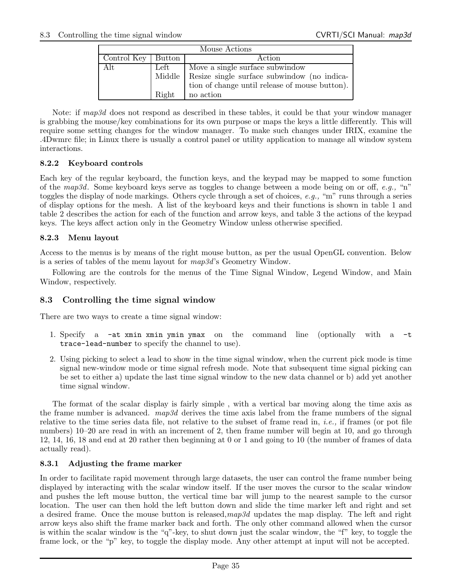| Mouse Actions      |       |                                                    |  |
|--------------------|-------|----------------------------------------------------|--|
| Control Key Button |       | Action                                             |  |
| Alt                | Left  | Move a single surface subwindow                    |  |
|                    |       | Middle Resize single surface subwindow (no indica- |  |
|                    |       | tion of change until release of mouse button).     |  |
|                    | Right | no action                                          |  |

Note: if map3d does not respond as described in these tables, it could be that your window manager is grabbing the mouse/key combinations for its own purpose or maps the keys a little differently. This will require some setting changes for the window manager. To make such changes under IRIX, examine the .4Dwmrc file; in Linux there is usually a control panel or utility application to manage all window system interactions.

#### 8.2.2 Keyboard controls

Each key of the regular keyboard, the function keys, and the keypad may be mapped to some function of the map3d. Some keyboard keys serve as toggles to change between a mode being on or off, e.g., "n" toggles the display of node markings. Others cycle through a set of choices, e.g., "m" runs through a series of display options for the mesh. A list of the keyboard keys and their functions is shown in table 1 and table 2 describes the action for each of the function and arrow keys, and table 3 the actions of the keypad keys. The keys affect action only in the Geometry Window unless otherwise specified.

#### 8.2.3 Menu layout

Access to the menus is by means of the right mouse button, as per the usual OpenGL convention. Below is a series of tables of the menu layout for map3d's Geometry Window.

Following are the controls for the menus of the Time Signal Window, Legend Window, and Main Window, respectively.

## 8.3 Controlling the time signal window

There are two ways to create a time signal window:

- 1. Specify a -at xmin xmin ymin ymax on the command line (optionally with a -t trace-lead-number to specify the channel to use).
- 2. Using picking to select a lead to show in the time signal window, when the current pick mode is time signal new-window mode or time signal refresh mode. Note that subsequent time signal picking can be set to either a) update the last time signal window to the new data channel or b) add yet another time signal window.

The format of the scalar display is fairly simple , with a vertical bar moving along the time axis as the frame number is advanced.  $map3d$  derives the time axis label from the frame numbers of the signal relative to the time series data file, not relative to the subset of frame read in, i.e., if frames (or pot file numbers) 10–20 are read in with an increment of 2, then frame number will begin at 10, and go through 12, 14, 16, 18 and end at 20 rather then beginning at 0 or 1 and going to 10 (the number of frames of data actually read).

#### 8.3.1 Adjusting the frame marker

In order to facilitate rapid movement through large datasets, the user can control the frame number being displayed by interacting with the scalar window itself. If the user moves the cursor to the scalar window and pushes the left mouse button, the vertical time bar will jump to the nearest sample to the cursor location. The user can then hold the left button down and slide the time marker left and right and set a desired frame. Once the mouse button is released,  $map3d$  updates the map display. The left and right arrow keys also shift the frame marker back and forth. The only other command allowed when the cursor is within the scalar window is the "q"-key, to shut down just the scalar window, the "f" key, to toggle the frame lock, or the "p" key, to toggle the display mode. Any other attempt at input will not be accepted.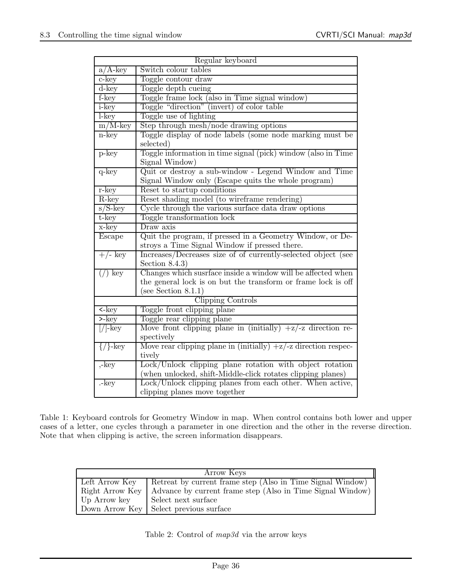| Regular keyboard                     |                                                                |  |  |  |
|--------------------------------------|----------------------------------------------------------------|--|--|--|
| $a/A$ -key                           | Switch colour tables                                           |  |  |  |
| c-key                                | Toggle contour draw                                            |  |  |  |
| d-key                                | Toggle depth cueing                                            |  |  |  |
| f-key                                | Toggle frame lock (also in Time signal window)                 |  |  |  |
| <i>i</i> -key                        | Toggle "direction" (invert) of color table                     |  |  |  |
| $l$ -key                             | Toggle use of lighting                                         |  |  |  |
| $\rm m/M$ -key                       | Step through mesh/node drawing options                         |  |  |  |
| n-key                                | Toggle display of node labels (some node marking must be       |  |  |  |
|                                      | selected)                                                      |  |  |  |
| $p$ -key                             | Toggle information in time signal (pick) window (also in Time  |  |  |  |
|                                      | Signal Window)                                                 |  |  |  |
| $q$ -key                             | Quit or destroy a sub-window - Legend Window and Time          |  |  |  |
|                                      | Signal Window only (Escape quits the whole program)            |  |  |  |
| r-key                                | Reset to startup conditions                                    |  |  |  |
| R-key                                | Reset shading model (to wireframe rendering)                   |  |  |  |
| $s/S$ -key                           | Cycle through the various surface data draw options            |  |  |  |
| $t$ - $key$                          | Toggle transformation lock                                     |  |  |  |
| x-key                                | Draw axis                                                      |  |  |  |
| Escape                               | Quit the program, if pressed in a Geometry Window, or De-      |  |  |  |
|                                      | stroys a Time Signal Window if pressed there.                  |  |  |  |
| $+/-$ key                            | Increases/Decreases size of of currently-selected object (see  |  |  |  |
|                                      | Section $8.4.3$ )                                              |  |  |  |
| $\left(\frac{\ }{\ }{\ }\right)$ key | Changes which susrface inside a window will be affected when   |  |  |  |
|                                      | the general lock is on but the transform or frame lock is off  |  |  |  |
|                                      | (see Section $8.1.1$ )                                         |  |  |  |
|                                      | <b>Clipping Controls</b>                                       |  |  |  |
| $\overline{\text{<}$ -key            | Toggle front clipping plane                                    |  |  |  |
| $>$ -key                             | Toggle rear clipping plane                                     |  |  |  |
| $\sqrt{ 1-\text{key} }$              | Move front clipping plane in (initially) $+z/-z$ direction re- |  |  |  |
|                                      | spectively                                                     |  |  |  |
| $\{/\}$ -key                         | Move rear clipping plane in (initially) $+z$ direction respec- |  |  |  |
|                                      | tively                                                         |  |  |  |
| $,$ -key                             | Lock/Unlock clipping plane rotation with object rotation       |  |  |  |
|                                      | (when unlocked, shift-Middle-click rotates clipping planes)    |  |  |  |
| $-$ key                              | Lock/Unlock clipping planes from each other. When active,      |  |  |  |
|                                      | clipping planes move together                                  |  |  |  |

Table 1: Keyboard controls for Geometry Window in map. When control contains both lower and upper cases of a letter, one cycles through a parameter in one direction and the other in the reverse direction. Note that when clipping is active, the screen information disappears.

| Arrow Keys      |                                                            |  |  |
|-----------------|------------------------------------------------------------|--|--|
| Left Arrow Key  | Retreat by current frame step (Also in Time Signal Window) |  |  |
| Right Arrow Key | Advance by current frame step (Also in Time Signal Window) |  |  |
| Up Arrow key    | Select next surface                                        |  |  |
|                 | Down Arrow Key   Select previous surface                   |  |  |

Table 2: Control of map3d via the arrow keys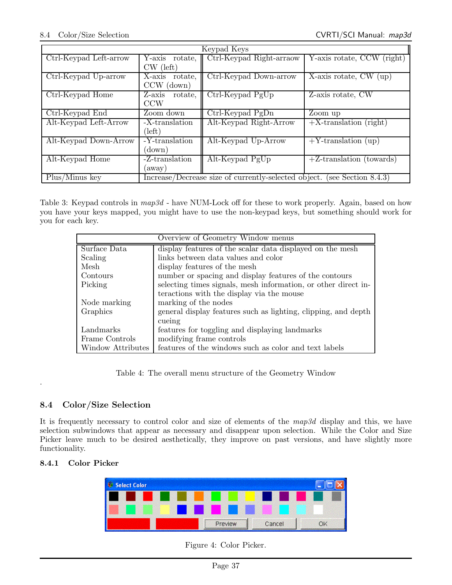| Keypad Keys            |                   |                                                                          |                                          |  |  |  |  |
|------------------------|-------------------|--------------------------------------------------------------------------|------------------------------------------|--|--|--|--|
| Ctrl-Keypad Left-arrow | Y-axis rotate,    | Ctrl-Keypad Right-arraow                                                 | $\overline{Y}$ -axis rotate, CCW (right) |  |  |  |  |
|                        | $CW$ (left)       |                                                                          |                                          |  |  |  |  |
| Ctrl-Keypad Up-arrow   | X-axis<br>rotate, | Ctrl-Keypad Down-arrow                                                   | $\overline{X}$ -axis rotate, CW (up)     |  |  |  |  |
|                        | $CCW$ (down)      |                                                                          |                                          |  |  |  |  |
| Ctrl-Keypad Home       | Z-axis<br>rotate, | Ctrl-Keypad PgUp                                                         | $\overline{Z}$ -axis rotate, CW          |  |  |  |  |
|                        | <b>CCW</b>        |                                                                          |                                          |  |  |  |  |
| Ctrl-Keypad End        | Zoom down         | Ctrl-Keypad PgDn                                                         | Zoom up                                  |  |  |  |  |
| Alt-Keypad Left-Arrow  | -X-translation    | Alt-Keypad Right-Arrow                                                   | $+X$ -translation (right)                |  |  |  |  |
|                        | (left)            |                                                                          |                                          |  |  |  |  |
| Alt-Keypad Down-Arrow  | -Y-translation    | Alt-Keypad Up-Arrow                                                      | $+Y$ -translation (up)                   |  |  |  |  |
|                        | (down)            |                                                                          |                                          |  |  |  |  |
| Alt-Keypad Home        | $-Z$ -translation | Alt-Keypad PgUp                                                          | $+Z$ -translation (towards)              |  |  |  |  |
|                        | (away)            |                                                                          |                                          |  |  |  |  |
| Plus/Minus key         |                   | Increase/Decrease size of currently-selected object. (see Section 8.4.3) |                                          |  |  |  |  |

Table 3: Keypad controls in  $map3d$  - have NUM-Lock off for these to work properly. Again, based on how you have your keys mapped, you might have to use the non-keypad keys, but something should work for you for each key.

| Overview of Geometry Window menus |                                                                |  |  |
|-----------------------------------|----------------------------------------------------------------|--|--|
| Surface Data                      | display features of the scalar data displayed on the mesh      |  |  |
| Scaling                           | links between data values and color                            |  |  |
| Mesh                              | display features of the mesh                                   |  |  |
| Contours                          | number or spacing and display features of the contours         |  |  |
| Picking                           | selecting times signals, mesh information, or other direct in- |  |  |
|                                   | teractions with the display via the mouse                      |  |  |
| Node marking                      | marking of the nodes                                           |  |  |
| Graphics                          | general display features such as lighting, clipping, and depth |  |  |
|                                   | cueing                                                         |  |  |
| Landmarks                         | features for toggling and displaying landmarks                 |  |  |
| Frame Controls                    | modifying frame controls                                       |  |  |
| Window Attributes                 | features of the windows such as color and text labels          |  |  |

Table 4: The overall menu structure of the Geometry Window

## 8.4 Color/Size Selection

It is frequently necessary to control color and size of elements of the  $map3d$  display and this, we have selection subwindows that appear as necessary and disappear upon selection. While the Color and Size Picker leave much to be desired aesthetically, they improve on past versions, and have slightly more functionality.

## 8.4.1 Color Picker

.



Figure 4: Color Picker.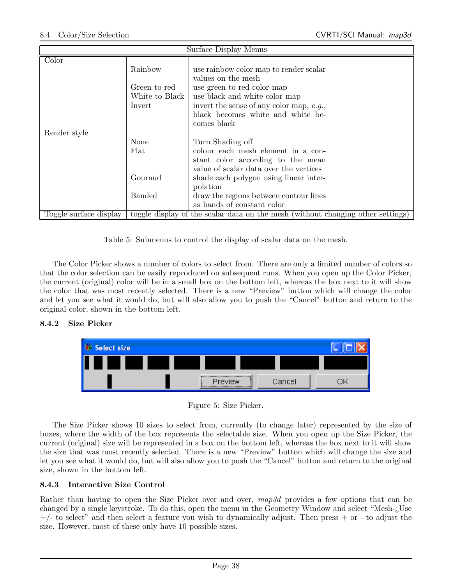| Surface Display Menus  |                                                       |                                                                                                                                                                                                                                                                                    |  |  |
|------------------------|-------------------------------------------------------|------------------------------------------------------------------------------------------------------------------------------------------------------------------------------------------------------------------------------------------------------------------------------------|--|--|
| Color                  | Rainbow<br>Green to red<br>White to Black  <br>Invert | use rainbow color map to render scalar<br>values on the mesh<br>use green to red color map<br>use black and white color map<br>invert the sense of any color map, $e.g.,$<br>black becomes white and white be-                                                                     |  |  |
| Render style           | None<br>Flat<br>Gouraud<br><b>Banded</b>              | comes black<br>Turn Shading off<br>colour each mesh element in a con-<br>stant color according to the mean<br>value of scalar data over the vertices<br>shade each polygon using linear inter-<br>polation<br>draw the regions between contour lines<br>as bands of constant color |  |  |
| Toggle surface display |                                                       | toggle display of the scalar data on the mesh (without changing other settings)                                                                                                                                                                                                    |  |  |

Table 5: Submenus to control the display of scalar data on the mesh.

The Color Picker shows a number of colors to select from. There are only a limited number of colors so that the color selection can be easily reproduced on subsequent runs. When you open up the Color Picker, the current (original) color will be in a small box on the bottom left, whereas the box next to it will show the color that was most recently selected. There is a new "Preview" button which will change the color and let you see what it would do, but will also allow you to push the "Cancel" button and return to the original color, shown in the bottom left.

#### 8.4.2 Size Picker



Figure 5: Size Picker.

The Size Picker shows 10 sizes to select from, currently (to change later) represented by the size of boxes, where the width of the box represents the selectable size. When you open up the Size Picker, the current (original) size will be represented in a box on the bottom left, whereas the box next to it will show the size that was most recently selected. There is a new "Preview" button which will change the size and let you see what it would do, but will also allow you to push the "Cancel" button and return to the original size, shown in the bottom left.

#### 8.4.3 Interactive Size Control

Rather than having to open the Size Picker over and over, map3d provides a few options that can be changed by a single keystroke. To do this, open the menu in the Geometry Window and select "Mesh-¿Use  $+/-$  to select" and then select a feature you wish to dynamically adjust. Then press  $+$  or  $-$  to adjust the size. However, most of these only have 10 possible sizes.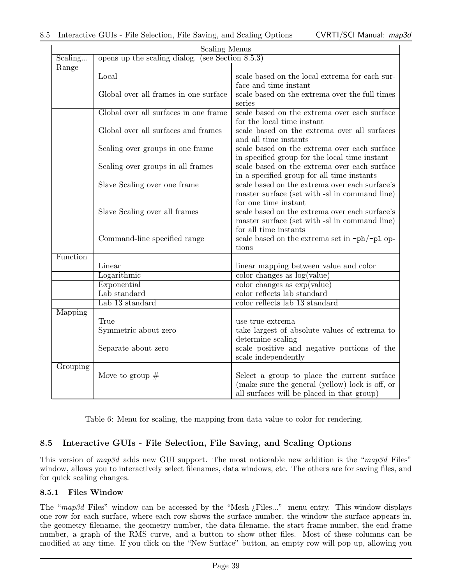|          | <b>Scaling Menus</b>                                |                                                 |
|----------|-----------------------------------------------------|-------------------------------------------------|
| Scaling  | opens up the scaling dialog. (see Section $8.5.3$ ) |                                                 |
| Range    |                                                     |                                                 |
|          | Local                                               | scale based on the local extrema for each sur-  |
|          |                                                     | face and time instant                           |
|          | Global over all frames in one surface               | scale based on the extrema over the full times  |
|          |                                                     | series                                          |
|          | Global over all surfaces in one frame               | scale based on the extrema over each surface    |
|          |                                                     | for the local time instant                      |
|          | Global over all surfaces and frames                 | scale based on the extrema over all surfaces    |
|          |                                                     | and all time instants                           |
|          | Scaling over groups in one frame                    | scale based on the extrema over each surface    |
|          |                                                     | in specified group for the local time instant   |
|          | Scaling over groups in all frames                   | scale based on the extrema over each surface    |
|          |                                                     | in a specified group for all time instants      |
|          | Slave Scaling over one frame                        | scale based on the extrema over each surface's  |
|          |                                                     | master surface (set with -sl in command line)   |
|          |                                                     | for one time instant                            |
|          | Slave Scaling over all frames                       | scale based on the extrema over each surface's  |
|          |                                                     | master surface (set with -sl in command line)   |
|          |                                                     | for all time instants                           |
|          | Command-line specified range                        | scale based on the extrema set in -ph/-pl op-   |
|          |                                                     | tions                                           |
| Function |                                                     |                                                 |
|          | Linear                                              | linear mapping between value and color          |
|          | Logarithmic                                         | color changes as $log(value)$                   |
|          | Exponential                                         | color change as exp(value)                      |
|          | Lab standard                                        | color reflects lab standard                     |
|          | Lab 13 standard                                     | color reflects lab 13 standard                  |
| Mapping  |                                                     |                                                 |
|          | True                                                | use true extrema                                |
|          | Symmetric about zero                                | take largest of absolute values of extrema to   |
|          |                                                     | determine scaling                               |
|          | Separate about zero                                 | scale positive and negative portions of the     |
|          |                                                     | scale independently                             |
| Grouping |                                                     |                                                 |
|          | Move to group $#$                                   | Select a group to place the current surface     |
|          |                                                     | (make sure the general (yellow) lock is off, or |
|          |                                                     | all surfaces will be placed in that group)      |

Table 6: Menu for scaling, the mapping from data value to color for rendering.

## 8.5 Interactive GUIs - File Selection, File Saving, and Scaling Options

This version of map3d adds new GUI support. The most noticeable new addition is the "map3d Files" window, allows you to interactively select filenames, data windows, etc. The others are for saving files, and for quick scaling changes.

#### 8.5.1 Files Window

The " $map3d$  Files" window can be accessed by the "Mesh- $i$ -Files..." menu entry. This window displays one row for each surface, where each row shows the surface number, the window the surface appears in, the geometry filename, the geometry number, the data filename, the start frame number, the end frame number, a graph of the RMS curve, and a button to show other files. Most of these columns can be modified at any time. If you click on the "New Surface" button, an empty row will pop up, allowing you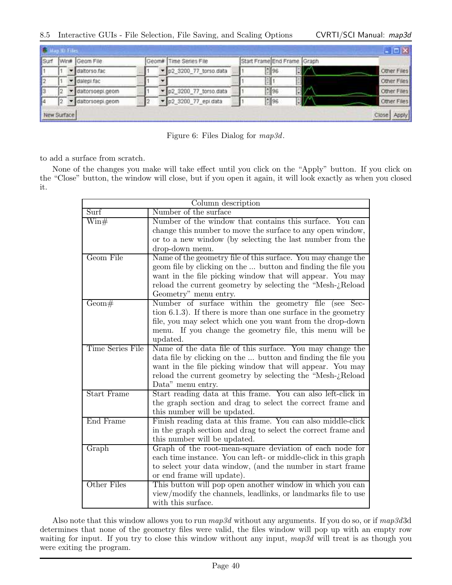|             |  |                 |  |                        |  |                             | $ \Box$ $\times$ |
|-------------|--|-----------------|--|------------------------|--|-----------------------------|------------------|
| Surf        |  | Win# Geom File  |  | Geom# Time Series File |  | Start Frame End Frame Graph |                  |
|             |  | daltorso fac    |  | p2_3200_77_torso.data  |  | $= 96$                      | Other Files      |
|             |  | dalegi fac      |  |                        |  |                             | Other Files      |
|             |  | datorsoepi.geom |  | p2_3200_77_torso.data  |  | 0 96                        | Other Files      |
|             |  | datorsoepi.geom |  | p2_3200_77_epi.data    |  | 596                         | Other Files      |
| New Surface |  |                 |  |                        |  |                             | Close Apply      |

Figure 6: Files Dialog for map3d.

to add a surface from scratch.

None of the changes you make will take effect until you click on the "Apply" button. If you click on the "Close" button, the window will close, but if you open it again, it will look exactly as when you closed it.

| Column description       |                                                                       |  |  |  |
|--------------------------|-----------------------------------------------------------------------|--|--|--|
| $\overline{\text{Surf}}$ | Number of the surface                                                 |  |  |  |
| $\text{Win#}$            | Number of the window that contains this surface. You can              |  |  |  |
|                          | change this number to move the surface to any open window,            |  |  |  |
|                          | or to a new window (by selecting the last number from the             |  |  |  |
|                          | drop-down menu.                                                       |  |  |  |
| Geom File                | Name of the geometry file of this surface. You may change the         |  |  |  |
|                          | geom file by clicking on the  button and finding the file you         |  |  |  |
|                          | want in the file picking window that will appear. You may             |  |  |  |
|                          | reload the current geometry by selecting the "Mesh-¿Reload"           |  |  |  |
|                          | Geometry" menu entry.                                                 |  |  |  |
| Geom#                    | Number of surface within the geometry file (see Sec-                  |  |  |  |
|                          | tion $6.1.3$ ). If there is more than one surface in the geometry     |  |  |  |
|                          | file, you may select which one you want from the drop-down            |  |  |  |
|                          | menu. If you change the geometry file, this menu will be              |  |  |  |
| Time Series File         | updated.<br>Name of the data file of this surface. You may change the |  |  |  |
|                          | data file by clicking on the  button and finding the file you         |  |  |  |
|                          | want in the file picking window that will appear. You may             |  |  |  |
|                          | reload the current geometry by selecting the "Mesh- $i$ Reload        |  |  |  |
|                          | Data" menu entry.                                                     |  |  |  |
| <b>Start Frame</b>       | Start reading data at this frame. You can also left-click in          |  |  |  |
|                          | the graph section and drag to select the correct frame and            |  |  |  |
|                          | this number will be updated.                                          |  |  |  |
| End Frame                | Finish reading data at this frame. You can also middle-click          |  |  |  |
|                          | in the graph section and drag to select the correct frame and         |  |  |  |
|                          | this number will be updated.                                          |  |  |  |
| Graph                    | Graph of the root-mean-square deviation of each node for              |  |  |  |
|                          | each time instance. You can left- or middle-click in this graph       |  |  |  |
|                          | to select your data window, (and the number in start frame            |  |  |  |
|                          | or end frame will update).                                            |  |  |  |
| Other Files              | This button will pop open another window in which you can             |  |  |  |
|                          | view/modify the channels, leadlinks, or landmarks file to use         |  |  |  |
|                          | with this surface.                                                    |  |  |  |

Also note that this window allows you to run  $map3d$  without any arguments. If you do so, or if  $map3d3d$ determines that none of the geometry files were valid, the files window will pop up with an empty row waiting for input. If you try to close this window without any input, map3d will treat is as though you were exiting the program.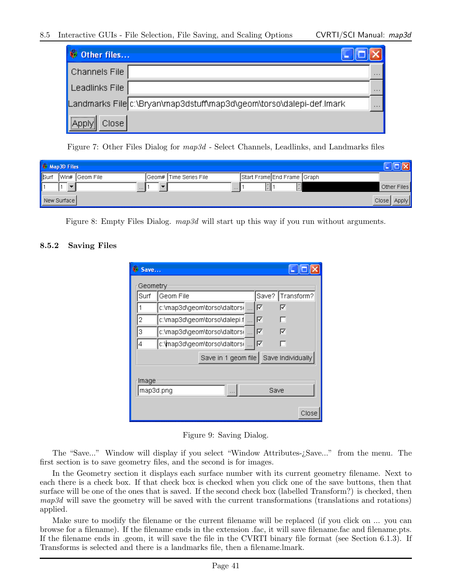#### 8.5 Interactive GUIs - File Selection, File Saving, and Scaling Options CVRTI/SCI Manual: map3d

| Other files                                                          |          |
|----------------------------------------------------------------------|----------|
| Channels File                                                        | $\cdots$ |
| Leadlinks File                                                       | $\cdots$ |
| Landmarks File c:\Bryan\map3dstuff\map3d\geom\torso\dalepi-def.lmark | $\cdots$ |
| <br>Close                                                            |          |

Figure 7: Other Files Dialog for map3d - Select Channels, Leadlinks, and Landmarks files

| Map 3D Files  |             |                |  |                           |                             |  |                  |
|---------------|-------------|----------------|--|---------------------------|-----------------------------|--|------------------|
| <b>I</b> Surf |             | Win# Geom File |  | Geom#    Time Series File | Start Frame End Frame Graph |  |                  |
|               |             | $\cdots$       |  | $-11111$                  |                             |  | Other Files      |
|               | New Surface |                |  |                           |                             |  | Close  <br>Apply |

Figure 8: Empty Files Dialog. *map3d* will start up this way if you run without arguments.

#### 8.5.2 Saving Files

| Save     |                                          |
|----------|------------------------------------------|
| Geometry |                                          |
| Surf     | Transform?<br>Save?<br>Geom File         |
|          | 1∽<br>c:\map3d\geom\torso\daltors(<br>⊽  |
| 2        | c:\map3d\geom\torso\dalepi.f<br>⊽        |
| 3        | c:\map3d\geom\torso\daltors(<br>⊽<br>⊽   |
| 4        | c:\map3d\geom\torso\daltorsi<br>⊽<br>ш   |
|          | Save in 1 geom file<br>Save Individually |
| Image    | map3d.png<br>Save<br>Close               |

Figure 9: Saving Dialog.

The "Save..." Window will display if you select "Window Attributes-¿Save..." from the menu. The first section is to save geometry files, and the second is for images.

In the Geometry section it displays each surface number with its current geometry filename. Next to each there is a check box. If that check box is checked when you click one of the save buttons, then that surface will be one of the ones that is saved. If the second check box (labelled Transform?) is checked, then map3d will save the geometry will be saved with the current transformations (translations and rotations) applied.

Make sure to modify the filename or the current filename will be replaced (if you click on ... you can browse for a filename). If the filename ends in the extension .fac, it will save filename.fac and filename.pts. If the filename ends in .geom, it will save the file in the CVRTI binary file format (see Section 6.1.3). If Transforms is selected and there is a landmarks file, then a filename.lmark.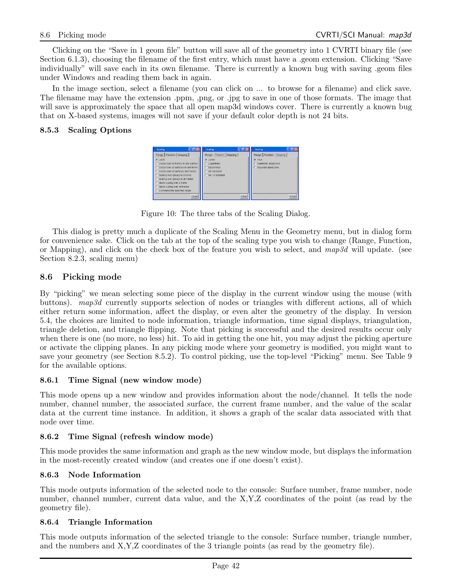Clicking on the "Save in 1 geom file" button will save all of the geometry into 1 CVRTI binary file (see Section 6.1.3), choosing the filename of the first entry, which must have a .geom extension. Clicking "Save individually" will save each in its own filename. There is currently a known bug with saving .geom files under Windows and reading them back in again.

In the image section, select a filename (you can click on ... to browse for a filename) and click save. The filename may have the extension .ppm, ,png, or .jpg to save in one of those formats. The image that will save is approximately the space that all open map3d windows cover. There is currently a known bug that on X-based systems, images will not save if your default color depth is not 24 bits.

#### 8.5.3 Scaling Options



Figure 10: The three tabs of the Scaling Dialog.

This dialog is pretty much a duplicate of the Scaling Menu in the Geometry menu, but in dialog form for convenience sake. Click on the tab at the top of the scaling type you wish to change (Range, Function, or Mapping), and click on the check box of the feature you wish to select, and  $map3d$  will update. (see Section 8.2.3, scaling menu)

## 8.6 Picking mode

By "picking" we mean selecting some piece of the display in the current window using the mouse (with buttons). map3d currently supports selection of nodes or triangles with different actions, all of which either return some information, affect the display, or even alter the geometry of the display. In version 5.4, the choices are limited to node information, triangle information, time signal displays, triangulation, triangle deletion, and triangle flipping. Note that picking is successful and the desired results occur only when there is one (no more, no less) hit. To aid in getting the one hit, you may adjust the picking aperture or activate the clipping planes. In any picking mode where your geometry is modified, you might want to save your geometry (see Section 8.5.2). To control picking, use the top-level "Picking" menu. See Table 9 for the available options.

#### 8.6.1 Time Signal (new window mode)

This mode opens up a new window and provides information about the node/channel. It tells the node number, channel number, the associated surface, the current frame number, and the value of the scalar data at the current time instance. In addition, it shows a graph of the scalar data associated with that node over time.

#### 8.6.2 Time Signal (refresh window mode)

This mode provides the same information and graph as the new window mode, but displays the information in the most-recently created window (and creates one if one doesn't exist).

#### 8.6.3 Node Information

This mode outputs information of the selected node to the console: Surface number, frame number, node number, channel number, current data value, and the X,Y,Z coordinates of the point (as read by the geometry file).

#### 8.6.4 Triangle Information

This mode outputs information of the selected triangle to the console: Surface number, triangle number, and the numbers and X,Y,Z coordinates of the 3 triangle points (as read by the geometry file).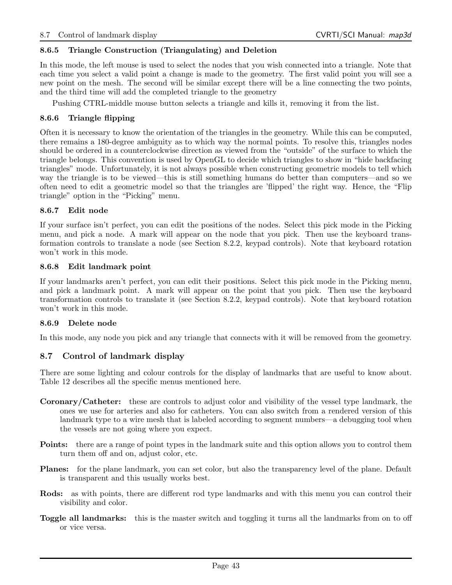#### 8.6.5 Triangle Construction (Triangulating) and Deletion

In this mode, the left mouse is used to select the nodes that you wish connected into a triangle. Note that each time you select a valid point a change is made to the geometry. The first valid point you will see a new point on the mesh. The second will be similar except there will be a line connecting the two points, and the third time will add the completed triangle to the geometry

Pushing CTRL-middle mouse button selects a triangle and kills it, removing it from the list.

#### 8.6.6 Triangle flipping

Often it is necessary to know the orientation of the triangles in the geometry. While this can be computed, there remains a 180-degree ambiguity as to which way the normal points. To resolve this, triangles nodes should be ordered in a counterclockwise direction as viewed from the "outside" of the surface to which the triangle belongs. This convention is used by OpenGL to decide which triangles to show in "hide backfacing triangles" mode. Unfortunately, it is not always possible when constructing geometric models to tell which way the triangle is to be viewed—this is still something humans do better than computers—and so we often need to edit a geometric model so that the triangles are 'flipped' the right way. Hence, the "Flip triangle" option in the "Picking" menu.

#### 8.6.7 Edit node

If your surface isn't perfect, you can edit the positions of the nodes. Select this pick mode in the Picking menu, and pick a node. A mark will appear on the node that you pick. Then use the keyboard transformation controls to translate a node (see Section 8.2.2, keypad controls). Note that keyboard rotation won't work in this mode.

#### 8.6.8 Edit landmark point

If your landmarks aren't perfect, you can edit their positions. Select this pick mode in the Picking menu, and pick a landmark point. A mark will appear on the point that you pick. Then use the keyboard transformation controls to translate it (see Section 8.2.2, keypad controls). Note that keyboard rotation won't work in this mode.

#### 8.6.9 Delete node

In this mode, any node you pick and any triangle that connects with it will be removed from the geometry.

## 8.7 Control of landmark display

There are some lighting and colour controls for the display of landmarks that are useful to know about. Table 12 describes all the specific menus mentioned here.

- Coronary/Catheter: these are controls to adjust color and visibility of the vessel type landmark, the ones we use for arteries and also for catheters. You can also switch from a rendered version of this landmark type to a wire mesh that is labeled according to segment numbers—a debugging tool when the vessels are not going where you expect.
- Points: there are a range of point types in the landmark suite and this option allows you to control them turn them off and on, adjust color, etc.
- Planes: for the plane landmark, you can set color, but also the transparency level of the plane. Default is transparent and this usually works best.
- Rods: as with points, there are different rod type landmarks and with this menu you can control their visibility and color.
- Toggle all landmarks: this is the master switch and toggling it turns all the landmarks from on to off or vice versa.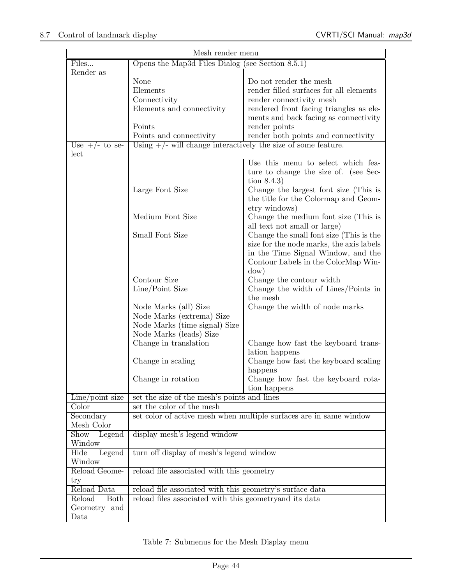|                                                                                                                                | Mesh render menu                                                                                                                                                                                                        |                                                                                                                                     |
|--------------------------------------------------------------------------------------------------------------------------------|-------------------------------------------------------------------------------------------------------------------------------------------------------------------------------------------------------------------------|-------------------------------------------------------------------------------------------------------------------------------------|
| Files                                                                                                                          | Opens the Map3d Files Dialog (see Section $8.5.1$ )                                                                                                                                                                     |                                                                                                                                     |
| Render as                                                                                                                      |                                                                                                                                                                                                                         |                                                                                                                                     |
|                                                                                                                                | None                                                                                                                                                                                                                    | Do not render the mesh                                                                                                              |
|                                                                                                                                | Elements                                                                                                                                                                                                                | render filled surfaces for all elements                                                                                             |
|                                                                                                                                | Connectivity                                                                                                                                                                                                            | render connectivity mesh                                                                                                            |
|                                                                                                                                | Elements and connectivity                                                                                                                                                                                               | rendered front facing triangles as ele-                                                                                             |
|                                                                                                                                |                                                                                                                                                                                                                         | ments and back facing as connectivity                                                                                               |
|                                                                                                                                | Points                                                                                                                                                                                                                  | render points                                                                                                                       |
|                                                                                                                                | Points and connectivity                                                                                                                                                                                                 | render both points and connectivity                                                                                                 |
| Use $+/-$ to se-                                                                                                               | Using $+/-$ will change interactively the size of some feature.                                                                                                                                                         |                                                                                                                                     |
| lect                                                                                                                           |                                                                                                                                                                                                                         |                                                                                                                                     |
|                                                                                                                                |                                                                                                                                                                                                                         | Use this menu to select which fea-                                                                                                  |
|                                                                                                                                |                                                                                                                                                                                                                         |                                                                                                                                     |
|                                                                                                                                |                                                                                                                                                                                                                         | ture to change the size of. (see Sec-                                                                                               |
|                                                                                                                                |                                                                                                                                                                                                                         | tion $8.4.3$                                                                                                                        |
|                                                                                                                                | Large Font Size                                                                                                                                                                                                         | Change the largest font size (This is                                                                                               |
|                                                                                                                                |                                                                                                                                                                                                                         | the title for the Colormap and Geom-                                                                                                |
|                                                                                                                                |                                                                                                                                                                                                                         | etry windows)                                                                                                                       |
|                                                                                                                                | Medium Font Size                                                                                                                                                                                                        | Change the medium font size (This is                                                                                                |
|                                                                                                                                |                                                                                                                                                                                                                         | all text not small or large)                                                                                                        |
|                                                                                                                                | Small Font Size                                                                                                                                                                                                         | Change the small font size (This is the                                                                                             |
|                                                                                                                                |                                                                                                                                                                                                                         | size for the node marks, the axis labels                                                                                            |
|                                                                                                                                |                                                                                                                                                                                                                         | in the Time Signal Window, and the                                                                                                  |
|                                                                                                                                |                                                                                                                                                                                                                         | Contour Labels in the ColorMap Win-                                                                                                 |
|                                                                                                                                |                                                                                                                                                                                                                         | dow)                                                                                                                                |
|                                                                                                                                | Contour Size                                                                                                                                                                                                            | Change the contour width                                                                                                            |
|                                                                                                                                | Line/Point Size                                                                                                                                                                                                         | Change the width of Lines/Points in                                                                                                 |
|                                                                                                                                |                                                                                                                                                                                                                         | the mesh                                                                                                                            |
|                                                                                                                                | Node Marks (all) Size                                                                                                                                                                                                   | Change the width of node marks                                                                                                      |
|                                                                                                                                | Node Marks (extrema) Size                                                                                                                                                                                               |                                                                                                                                     |
|                                                                                                                                | Node Marks (time signal) Size                                                                                                                                                                                           |                                                                                                                                     |
|                                                                                                                                | Node Marks (leads) Size                                                                                                                                                                                                 |                                                                                                                                     |
|                                                                                                                                | Change in translation                                                                                                                                                                                                   | Change how fast the keyboard trans-                                                                                                 |
|                                                                                                                                |                                                                                                                                                                                                                         | lation happens                                                                                                                      |
|                                                                                                                                | Change in scaling                                                                                                                                                                                                       | Change how fast the keyboard scaling                                                                                                |
|                                                                                                                                |                                                                                                                                                                                                                         |                                                                                                                                     |
|                                                                                                                                |                                                                                                                                                                                                                         |                                                                                                                                     |
|                                                                                                                                |                                                                                                                                                                                                                         |                                                                                                                                     |
|                                                                                                                                |                                                                                                                                                                                                                         |                                                                                                                                     |
|                                                                                                                                |                                                                                                                                                                                                                         |                                                                                                                                     |
|                                                                                                                                |                                                                                                                                                                                                                         |                                                                                                                                     |
|                                                                                                                                |                                                                                                                                                                                                                         |                                                                                                                                     |
|                                                                                                                                |                                                                                                                                                                                                                         |                                                                                                                                     |
|                                                                                                                                |                                                                                                                                                                                                                         |                                                                                                                                     |
|                                                                                                                                |                                                                                                                                                                                                                         |                                                                                                                                     |
|                                                                                                                                |                                                                                                                                                                                                                         |                                                                                                                                     |
|                                                                                                                                |                                                                                                                                                                                                                         |                                                                                                                                     |
|                                                                                                                                |                                                                                                                                                                                                                         |                                                                                                                                     |
|                                                                                                                                |                                                                                                                                                                                                                         |                                                                                                                                     |
| $_{\rm try}$                                                                                                                   |                                                                                                                                                                                                                         |                                                                                                                                     |
| Reload Data                                                                                                                    | reload file associated with this geometry's surface data                                                                                                                                                                |                                                                                                                                     |
| Reload<br><b>Both</b><br>Geometry and                                                                                          | reload files associated with this geometry and its data                                                                                                                                                                 |                                                                                                                                     |
| $Line$ point size<br>Color<br>Secondary<br>Mesh Color<br>Show<br>Legend<br>Window<br>Hide<br>Legend<br>Window<br>Reload Geome- | Change in rotation<br>set the size of the mesh's points and lines<br>set the color of the mesh<br>display mesh's legend window<br>turn off display of mesh's legend window<br>reload file associated with this geometry | happens<br>Change how fast the keyboard rota-<br>tion happens<br>set color of active mesh when multiple surfaces are in same window |

Table 7: Submenus for the Mesh Display menu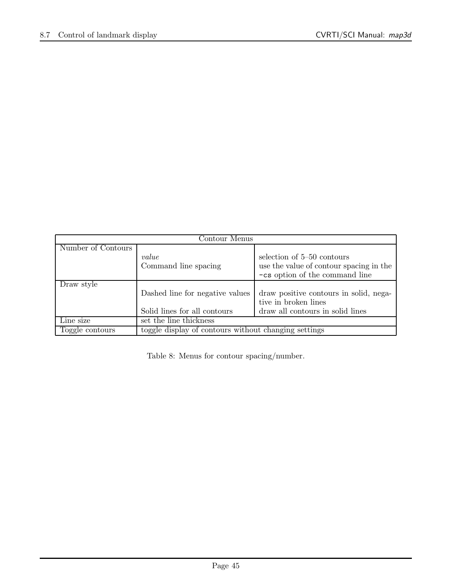| Contour Menus      |                                                      |                                         |  |  |
|--------------------|------------------------------------------------------|-----------------------------------------|--|--|
| Number of Contours |                                                      |                                         |  |  |
|                    | value                                                | selection of 5–50 contours              |  |  |
|                    | Command line spacing                                 | use the value of contour spacing in the |  |  |
|                    |                                                      | -cs option of the command line          |  |  |
| Draw style         |                                                      |                                         |  |  |
|                    | Dashed line for negative values                      | draw positive contours in solid, nega-  |  |  |
|                    | tive in broken lines                                 |                                         |  |  |
|                    | Solid lines for all contours                         | draw all contours in solid lines        |  |  |
| Line size          | set the line thickness                               |                                         |  |  |
| Toggle contours    | toggle display of contours without changing settings |                                         |  |  |

Table 8: Menus for contour spacing/number.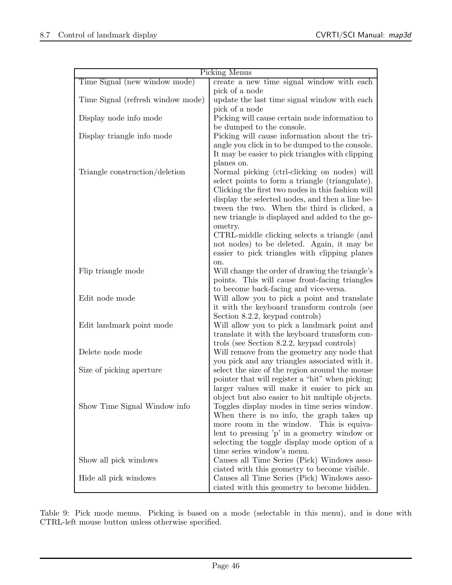| Picking Menus                     |                                                                             |  |  |
|-----------------------------------|-----------------------------------------------------------------------------|--|--|
| Time Signal (new window mode)     | create a new time signal window with each                                   |  |  |
|                                   | pick of a node                                                              |  |  |
| Time Signal (refresh window mode) | update the last time signal window with each                                |  |  |
|                                   | pick of a node                                                              |  |  |
| Display node info mode            | Picking will cause certain node information to                              |  |  |
|                                   | be dumped to the console.                                                   |  |  |
| Display triangle info mode        | Picking will cause information about the tri-                               |  |  |
|                                   | angle you click in to be dumped to the console.                             |  |  |
|                                   | It may be easier to pick triangles with clipping                            |  |  |
|                                   | planes on.                                                                  |  |  |
| Triangle construction/deletion    | Normal picking (ctrl-clicking on nodes) will                                |  |  |
|                                   | select points to form a triangle (triangulate).                             |  |  |
|                                   | Clicking the first two nodes in this fashion will                           |  |  |
|                                   | display the selected nodes, and then a line be-                             |  |  |
|                                   | tween the two. When the third is clicked, a                                 |  |  |
|                                   | new triangle is displayed and added to the ge-                              |  |  |
|                                   | ometry.                                                                     |  |  |
|                                   | CTRL-middle clicking selects a triangle (and                                |  |  |
|                                   | not nodes) to be deleted. Again, it may be                                  |  |  |
|                                   | easier to pick triangles with clipping planes                               |  |  |
| Flip triangle mode                | on.<br>Will change the order of drawing the triangle's                      |  |  |
|                                   | points. This will cause front-facing triangles                              |  |  |
|                                   | to become back-facing and vice-versa.                                       |  |  |
| Edit node mode                    | Will allow you to pick a point and translate                                |  |  |
|                                   | it with the keyboard transform controls (see                                |  |  |
|                                   | Section 8.2.2, keypad controls)                                             |  |  |
| Edit landmark point mode          | Will allow you to pick a landmark point and                                 |  |  |
|                                   | translate it with the keyboard transform con-                               |  |  |
|                                   | trols (see Section 8.2.2, keypad controls)                                  |  |  |
| Delete node mode                  | Will remove from the geometry any node that                                 |  |  |
|                                   | you pick and any triangles associated with it.                              |  |  |
| Size of picking aperture          | select the size of the region around the mouse                              |  |  |
|                                   | pointer that will register a "hit" when picking;                            |  |  |
|                                   | larger values will make it easier to pick an                                |  |  |
|                                   | object but also easier to hit multiple objects.                             |  |  |
| Show Time Signal Window info      | Toggles display modes in time series window.                                |  |  |
|                                   | When there is no info, the graph takes up                                   |  |  |
|                                   | more room in the window. This is equiva-                                    |  |  |
|                                   | lent to pressing 'p' in a geometry window or                                |  |  |
|                                   | selecting the toggle display mode option of a<br>time series window's menu. |  |  |
| Show all pick windows             | Causes all Time Series (Pick) Windows asso-                                 |  |  |
|                                   | ciated with this geometry to become visible.                                |  |  |
| Hide all pick windows             | Causes all Time Series (Pick) Windows asso-                                 |  |  |
|                                   | ciated with this geometry to become hidden.                                 |  |  |

Table 9: Pick mode menus. Picking is based on a mode (selectable in this menu), and is done with CTRL-left mouse button unless otherwise specified.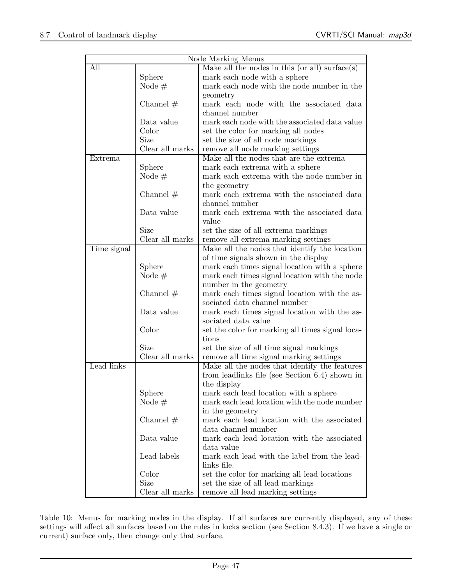| Node Marking Menus |                 |                                                  |  |  |
|--------------------|-----------------|--------------------------------------------------|--|--|
| All                |                 | Make all the nodes in this (or all) surface(s)   |  |  |
|                    | Sphere          | mark each node with a sphere                     |  |  |
|                    | Node $#$        | mark each node with the node number in the       |  |  |
|                    |                 | geometry                                         |  |  |
|                    | Channel $#$     | mark each node with the associated data          |  |  |
|                    |                 | channel number                                   |  |  |
|                    | Data value      | mark each node with the associated data value    |  |  |
|                    | Color           | set the color for marking all nodes              |  |  |
|                    | Size            | set the size of all node markings                |  |  |
|                    | Clear all marks | remove all node marking settings                 |  |  |
| Extrema            |                 | Make all the nodes that are the extrema          |  |  |
|                    | Sphere          | mark each extrema with a sphere                  |  |  |
|                    | Node $#$        | mark each extrema with the node number in        |  |  |
|                    |                 | the geometry                                     |  |  |
|                    | Channel $#$     | mark each extrema with the associated data       |  |  |
|                    |                 | channel number                                   |  |  |
|                    | Data value      | mark each extrema with the associated data       |  |  |
|                    |                 | value                                            |  |  |
|                    | Size            | set the size of all extrema markings             |  |  |
|                    | Clear all marks | remove all extrema marking settings              |  |  |
| Time signal        |                 | Make all the nodes that identify the location    |  |  |
|                    |                 | of time signals shown in the display             |  |  |
|                    | Sphere          | mark each times signal location with a sphere    |  |  |
|                    | Node $#$        | mark each times signal location with the node    |  |  |
|                    |                 | number in the geometry                           |  |  |
|                    | Channel $#$     | mark each times signal location with the as-     |  |  |
|                    |                 | sociated data channel number                     |  |  |
|                    | Data value      | mark each times signal location with the as-     |  |  |
|                    |                 | sociated data value                              |  |  |
|                    | Color           | set the color for marking all times signal loca- |  |  |
|                    |                 | tions                                            |  |  |
|                    | Size            | set the size of all time signal markings         |  |  |
|                    | Clear all marks | remove all time signal marking settings          |  |  |
| Lead links         |                 | Make all the nodes that identify the features    |  |  |
|                    |                 | from leadlinks file (see Section 6.4) shown in   |  |  |
|                    |                 | the display                                      |  |  |
|                    | Sphere          | mark each lead location with a sphere            |  |  |
|                    | Node $#$        | mark each lead location with the node number     |  |  |
|                    |                 | in the geometry                                  |  |  |
|                    | Channel $#$     | mark each lead location with the associated      |  |  |
|                    |                 | data channel number                              |  |  |
|                    | Data value      | mark each lead location with the associated      |  |  |
|                    |                 | data value                                       |  |  |
|                    | Lead labels     | mark each lead with the label from the lead-     |  |  |
|                    |                 | links file.                                      |  |  |
|                    | Color           | set the color for marking all lead locations     |  |  |
|                    | Size            | set the size of all lead markings                |  |  |
|                    | Clear all marks | remove all lead marking settings                 |  |  |

Table 10: Menus for marking nodes in the display. If all surfaces are currently displayed, any of these settings will affect all surfaces based on the rules in locks section (see Section 8.4.3). If we have a single or current) surface only, then change only that surface.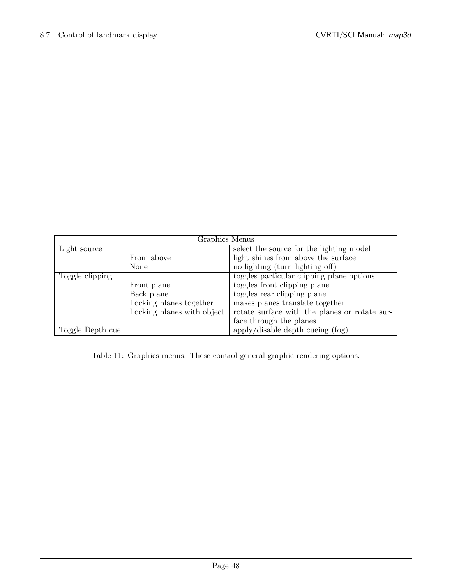| Graphics Menus   |                            |                                               |  |  |
|------------------|----------------------------|-----------------------------------------------|--|--|
| Light source     |                            | select the source for the lighting model      |  |  |
|                  | From above                 | light shines from above the surface           |  |  |
|                  | None                       | no lighting (turn lighting off)               |  |  |
| Toggle clipping  |                            | toggles particular clipping plane options     |  |  |
|                  | Front plane                | toggles front clipping plane                  |  |  |
|                  | Back plane                 | toggles rear clipping plane                   |  |  |
|                  | Locking planes together    | makes planes translate together               |  |  |
|                  | Locking planes with object | rotate surface with the planes or rotate sur- |  |  |
|                  |                            | face through the planes                       |  |  |
| Toggle Depth cue |                            | apply/disable depth cueing (fog)              |  |  |

Table 11: Graphics menus. These control general graphic rendering options.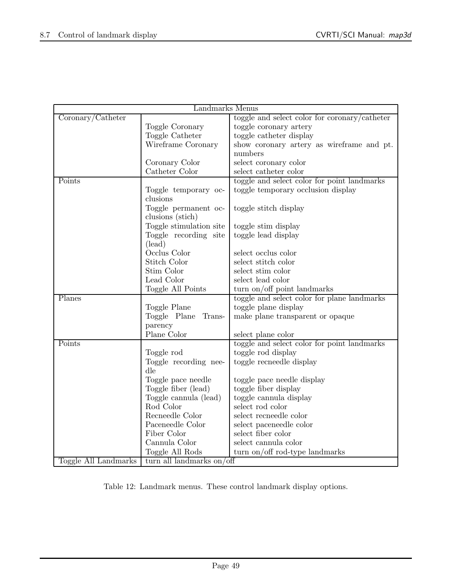| Landmarks Menus                                   |                         |                                               |  |  |
|---------------------------------------------------|-------------------------|-----------------------------------------------|--|--|
| Coronary/Catheter                                 |                         | toggle and select color for coronary/catheter |  |  |
|                                                   | Toggle Coronary         | toggle coronary artery                        |  |  |
|                                                   | Toggle Catheter         | toggle catheter display                       |  |  |
|                                                   | Wireframe Coronary      | show coronary artery as wireframe and pt.     |  |  |
|                                                   |                         | numbers                                       |  |  |
|                                                   | Coronary Color          | select coronary color                         |  |  |
|                                                   | Catheter Color          | select catheter color                         |  |  |
| Points                                            |                         | toggle and select color for point landmarks   |  |  |
|                                                   | Toggle temporary oc-    | toggle temporary occlusion display            |  |  |
|                                                   | clusions                |                                               |  |  |
|                                                   | Toggle permanent oc-    | toggle stitch display                         |  |  |
|                                                   | clusions (stich)        |                                               |  |  |
|                                                   | Toggle stimulation site | toggle stim display                           |  |  |
|                                                   | Toggle recording site   | toggle lead display                           |  |  |
|                                                   | (lead)                  |                                               |  |  |
|                                                   | Occlus Color            | select occlus color                           |  |  |
|                                                   | Stitch Color            | select stitch color                           |  |  |
|                                                   | Stim Color              | select stim color                             |  |  |
|                                                   | Lead Color              | select lead color                             |  |  |
|                                                   | Toggle All Points       | turn on/off point landmarks                   |  |  |
| Planes                                            |                         | toggle and select color for plane landmarks   |  |  |
|                                                   | Toggle Plane            | toggle plane display                          |  |  |
|                                                   | Toggle Plane<br>Trans-  | make plane transparent or opaque              |  |  |
|                                                   | parency                 |                                               |  |  |
|                                                   | Plane Color             | select plane color                            |  |  |
| Points                                            |                         | toggle and select color for point landmarks   |  |  |
|                                                   | Toggle rod              | toggle rod display                            |  |  |
|                                                   | Toggle recording nee-   | toggle recneedle display                      |  |  |
|                                                   | dle                     |                                               |  |  |
|                                                   | Toggle pace needle      | toggle pace needle display                    |  |  |
|                                                   | Toggle fiber (lead)     | toggle fiber display                          |  |  |
|                                                   | Toggle cannula (lead)   | toggle cannula display                        |  |  |
|                                                   | Rod Color               | select rod color                              |  |  |
|                                                   | Recneedle Color         | select recneedle color                        |  |  |
|                                                   | Paceneedle Color        | select paceneedle color                       |  |  |
|                                                   | Fiber Color             | select fiber color                            |  |  |
|                                                   | Cannula Color           | select cannula color                          |  |  |
|                                                   | Toggle All Rods         | turn on/off rod-type landmarks                |  |  |
| Toggle All Landmarks<br>turn all landmarks on/off |                         |                                               |  |  |

Table 12: Landmark menus. These control landmark display options.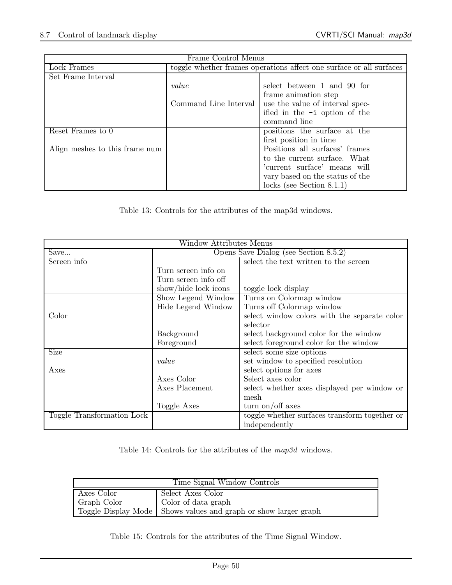| Frame Control Menus            |                                                                     |                                 |  |  |
|--------------------------------|---------------------------------------------------------------------|---------------------------------|--|--|
| Lock Frames                    | toggle whether frames operations affect one surface or all surfaces |                                 |  |  |
| Set Frame Interval             |                                                                     |                                 |  |  |
|                                | value                                                               | select between 1 and 90 for     |  |  |
|                                |                                                                     | frame animation step            |  |  |
|                                | Command Line Interval                                               | use the value of interval spec- |  |  |
|                                |                                                                     | ified in the $-i$ option of the |  |  |
|                                |                                                                     | command line                    |  |  |
| Reset Frames to 0              |                                                                     | positions the surface at the    |  |  |
|                                |                                                                     | first position in time          |  |  |
| Align meshes to this frame num |                                                                     | Positions all surfaces' frames  |  |  |
|                                |                                                                     | to the current surface. What    |  |  |
|                                |                                                                     | 'current surface' means will    |  |  |
|                                |                                                                     | vary based on the status of the |  |  |
|                                |                                                                     | locks (see Section $8.1.1$ )    |  |  |

Table 13: Controls for the attributes of the map3d windows.

| Window Attributes Menus    |                                       |                                               |  |  |
|----------------------------|---------------------------------------|-----------------------------------------------|--|--|
| Save                       | Opens Save Dialog (see Section 8.5.2) |                                               |  |  |
| Screen info                |                                       | select the text written to the screen         |  |  |
|                            | Turn screen info on                   |                                               |  |  |
|                            | Turn screen info off                  |                                               |  |  |
|                            | show/hide lock icons                  | toggle lock display                           |  |  |
|                            | Show Legend Window                    | Turns on Colormap window                      |  |  |
|                            | Hide Legend Window                    | Turns off Colormap window                     |  |  |
| Color                      |                                       | select window colors with the separate color  |  |  |
|                            |                                       | selector                                      |  |  |
|                            | Background                            | select background color for the window        |  |  |
|                            | Foreground                            | select foreground color for the window        |  |  |
| Size                       |                                       | select some size options                      |  |  |
|                            | value                                 | set window to specified resolution            |  |  |
| Axes                       |                                       | select options for axes                       |  |  |
|                            | Axes Color                            | Select axes color                             |  |  |
|                            | Axes Placement                        | select whether axes displayed per window or   |  |  |
|                            |                                       | mesh                                          |  |  |
|                            | Toggle Axes                           | turn on/off axes                              |  |  |
| Toggle Transformation Lock |                                       | toggle whether surfaces transform together or |  |  |
|                            |                                       | independently                                 |  |  |

Table 14: Controls for the attributes of the map3d windows.

| Time Signal Window Controls                                       |  |  |  |
|-------------------------------------------------------------------|--|--|--|
| Axes Color<br>Select Axes Color                                   |  |  |  |
| Color of data graph<br>Graph Color                                |  |  |  |
| Toggle Display Mode   Shows values and graph or show larger graph |  |  |  |

Table 15: Controls for the attributes of the Time Signal Window.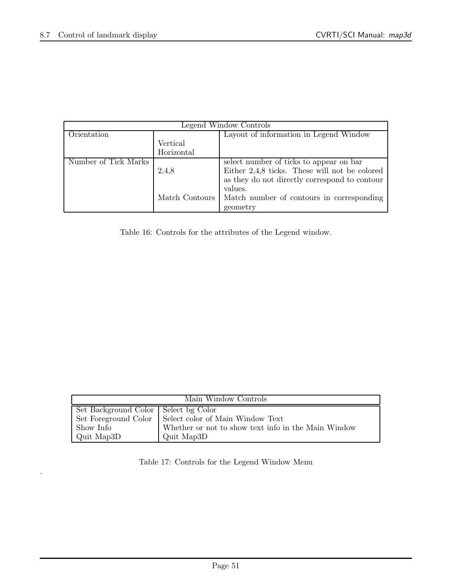.

| Legend Window Controls |                |                                                 |
|------------------------|----------------|-------------------------------------------------|
| Orientation            |                | Layout of information in Legend Window          |
|                        | Vertical       |                                                 |
|                        | Horizontal     |                                                 |
| Number of Tick Marks   |                | select number of ticks to appear on bar         |
|                        | 2,4,8          | Either $2,4,8$ ticks. These will not be colored |
|                        |                | as they do not directly correspond to contour   |
|                        |                | values.                                         |
|                        | Match Contours | Match number of contours in corresponding       |
|                        |                | geometry                                        |

Table 16: Controls for the attributes of the Legend window.

| Main Window Controls                   |                                                     |  |
|----------------------------------------|-----------------------------------------------------|--|
| Set Background Color   Select bg Color |                                                     |  |
| Set Foreground Color                   | Select color of Main Window Text                    |  |
| Show Info                              | Whether or not to show text info in the Main Window |  |
| Quit Map3D                             | Quit Map3D                                          |  |

Table 17: Controls for the Legend Window Menu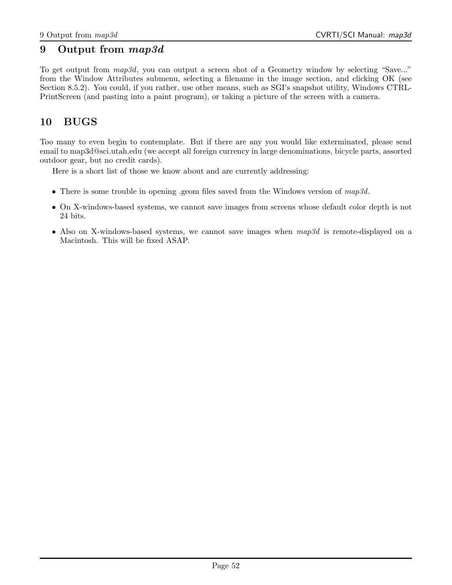## 9 Output from map3d

To get output from  $map3d$ , you can output a screen shot of a Geometry window by selecting "Save..." from the Window Attributes submenu, selecting a filename in the image section, and clicking OK (see Section 8.5.2). You could, if you rather, use other means, such as SGI's snapshot utility, Windows CTRL-PrintScreen (and pasting into a paint program), or taking a picture of the screen with a camera.

## 10 BUGS

Too many to even begin to contemplate. But if there are any you would like exterminated, please send email to map3d@sci.utah.edu (we accept all foreign currency in large denominations, bicycle parts, assorted outdoor gear, but no credit cards).

Here is a short list of those we know about and are currently addressing:

- There is some trouble in opening .geom files saved from the Windows version of  $map3d$ .
- On X-windows-based systems, we cannot save images from screens whose default color depth is not 24 bits.
- Also on X-windows-based systems, we cannot save images when  $map3d$  is remote-displayed on a Macintosh. This will be fixed ASAP.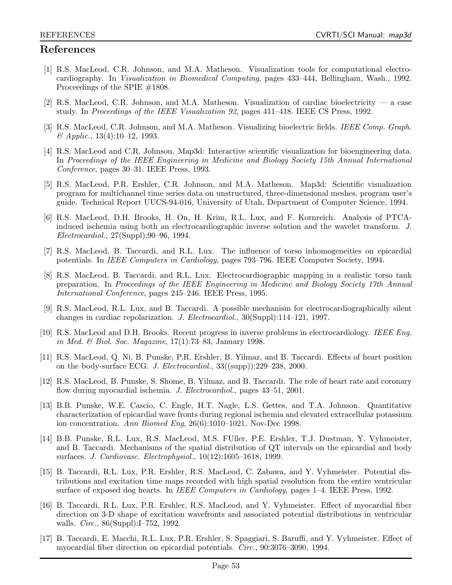## References

- [1] R.S. MacLeod, C.R. Johnson, and M.A. Matheson. Visualization tools for computational electrocardiography. In Visualization in Biomedical Computing, pages 433–444, Bellingham, Wash., 1992. Proceedings of the SPIE #1808.
- [2] R.S. MacLeod, C.R. Johnson, and M.A. Matheson. Visualization of cardiac bioelectricity a case study. In Proceedings of the IEEE Visualization 92, pages 411–418. IEEE CS Press, 1992.
- [3] R.S. MacLeod, C.R. Johnson, and M.A. Matheson. Visualizing bioelectric fields. IEEE Comp. Graph.  $\&$  Applic., 13(4):10–12, 1993.
- [4] R.S. MacLeod and C.R. Johnson. Map3d: Interactive scientific visualization for bioengineering data. In Proceedings of the IEEE Engineering in Medicine and Biology Society 15th Annual International Conference, pages 30–31. IEEE Press, 1993.
- [5] R.S. MacLeod, P.R. Ershler, C.R. Johnson, and M.A. Matheson. Map3d: Scientific visualization program for multichannel time series data on unstructured, three-dimensional meshes. program user's guide. Technical Report UUCS-94-016, University of Utah, Department of Computer Science, 1994.
- [6] R.S. MacLeod, D.H. Brooks, H. On, H. Krim, R.L. Lux, and F. Kornreich. Analysis of PTCAinduced ischemia using both an electrocardiographic inverse solution and the wavelet transform. J. Electrocardiol., 27(Suppl):90–96, 1994.
- [7] R.S. MacLeod, B. Taccardi, and R.L. Lux. The influence of torso inhomogeneities on epicardial potentials. In IEEE Computers in Cardiology, pages 793–796. IEEE Computer Society, 1994.
- [8] R.S. MacLeod, B. Taccardi, and R.L. Lux. Electrocardiographic mapping in a realistic torso tank preparation. In Proceedings of the IEEE Engineering in Medicine and Biology Society 17th Annual International Conference, pages 245–246. IEEE Press, 1995.
- [9] R.S. MacLeod, R.L. Lux, and B. Taccardi. A possible mechanism for electrocardiographically silent changes in cardiac repolarization. J. Electrocardiol., 30(Suppl):114–121, 1997.
- [10] R.S. MacLeod and D.H. Brooks. Recent progress in inverse problems in electrocardiology. IEEE Eng. in Med. & Biol. Soc. Magazine, 17(1):73–83, January 1998.
- [11] R.S. MacLeod, Q. Ni, B. Punske, P.R. Ershler, B. Yilmaz, and B. Taccardi. Effects of heart position on the body-surface ECG. J. Electrocardiol., 33((supp)):229–238, 2000.
- [12] R.S. MacLeod, B. Punske, S. Shome, B. Yilmaz, and B. Taccardi. The role of heart rate and coronary flow during myocardial ischemia. J. Electrocardiol., pages 43-51, 2001.
- [13] B.B. Punske, W.E. Cascio, C. Engle, H.T. Nagle, L.S. Gettes, and T.A. Johnson. Quantitative characterization of epicardial wave fronts during regional ischemia and elevated extracellular potassium ion concentration. Ann Biomed Eng, 26(6):1010–1021, Nov-Dec 1998.
- [14] B.B. Punske, R.L. Lux, R.S. MacLeod, M.S. FUller, P.E. Ershler, T.J. Dustman, Y. Vyhmeister, and B. Taccardi. Mechanisms of the spatial distribution of QT intervals on the epicardial and body surfaces. J. Cardiovasc. Electrophysiol., 10(12):1605–1618, 1999.
- [15] B. Taccardi, R.L. Lux, P.R. Ershler, R.S. MacLeod, C. Zabawa, and Y. Vyhmeister. Potential distributions and excitation time maps recorded with high spatial resolution from the entire ventricular surface of exposed dog hearts. In *IEEE Computers in Cardiology*, pages 1–4. IEEE Press, 1992.
- [16] B. Taccardi, R.L. Lux, P.R. Ershler, R.S. MacLeod, and Y. Vyhmeister. Effect of myocardial fiber direction on 3-D shape of excitation wavefronts and associated potential distributions in ventricular walls. Circ., 86(Suppl):I–752, 1992.
- [17] B. Taccardi, E. Macchi, R.L. Lux, P.R. Ershler, S. Spaggiari, S. Baruffi, and Y. Vyhmeister. Effect of myocardial fiber direction on epicardial potentials. Circ., 90:3076–3090, 1994.